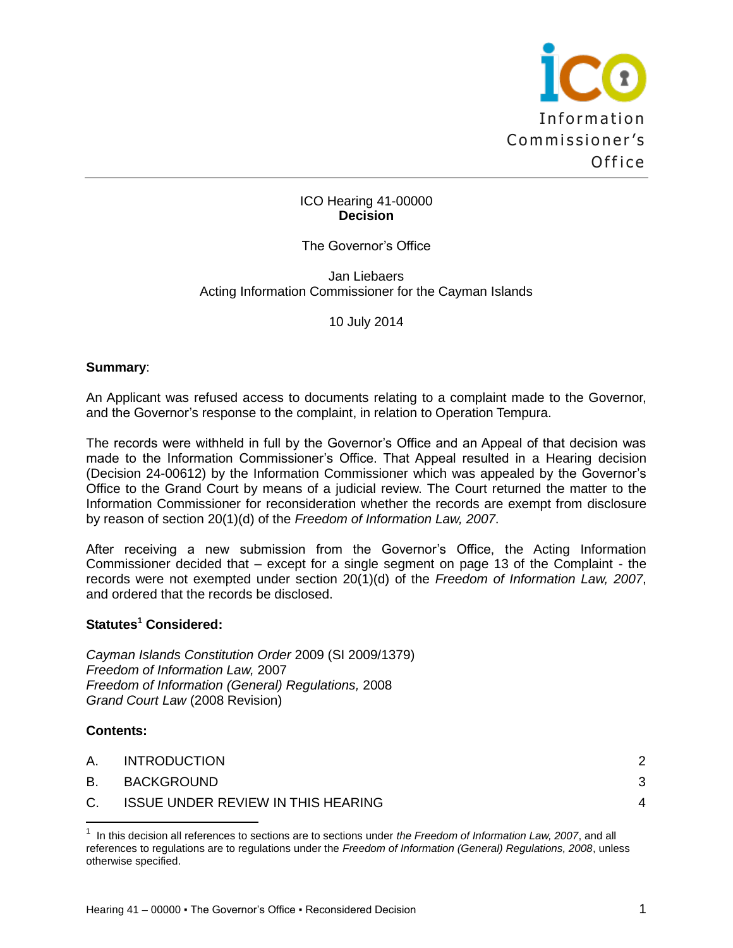

### ICO Hearing 41-00000 **Decision**

## The Governor's Office

Jan Liebaers Acting Information Commissioner for the Cayman Islands

10 July 2014

### **Summary**:

An Applicant was refused access to documents relating to a complaint made to the Governor, and the Governor's response to the complaint, in relation to Operation Tempura.

The records were withheld in full by the Governor's Office and an Appeal of that decision was made to the Information Commissioner's Office. That Appeal resulted in a Hearing decision (Decision 24-00612) by the Information Commissioner which was appealed by the Governor's Office to the Grand Court by means of a judicial review. The Court returned the matter to the Information Commissioner for reconsideration whether the records are exempt from disclosure by reason of section 20(1)(d) of the *Freedom of Information Law, 2007*.

After receiving a new submission from the Governor's Office, the Acting Information Commissioner decided that – except for a single segment on page 13 of the Complaint - the records were not exempted under section 20(1)(d) of the *Freedom of Information Law, 2007*, and ordered that the records be disclosed.

### **Statutes<sup>1</sup> Considered:**

*Cayman Islands Constitution Order* 2009 (SI 2009/1379) *Freedom of Information Law,* 2007 *Freedom of Information (General) Regulations,* 2008 *Grand Court Law* (2008 Revision)

#### **Contents:**

| A. | <b>INTRODUCTION</b>                       | 2 |
|----|-------------------------------------------|---|
|    | B. BACKGROUND                             | 3 |
| C. | <b>ISSUE UNDER REVIEW IN THIS HEARING</b> |   |
|    |                                           |   |

<sup>&</sup>lt;sup>1</sup> In this decision all references to sections are to sections under *the Freedom of Information Law, 2007*, and all references to regulations are to regulations under the *Freedom of Information (General) Regulations, 2008*, unless otherwise specified.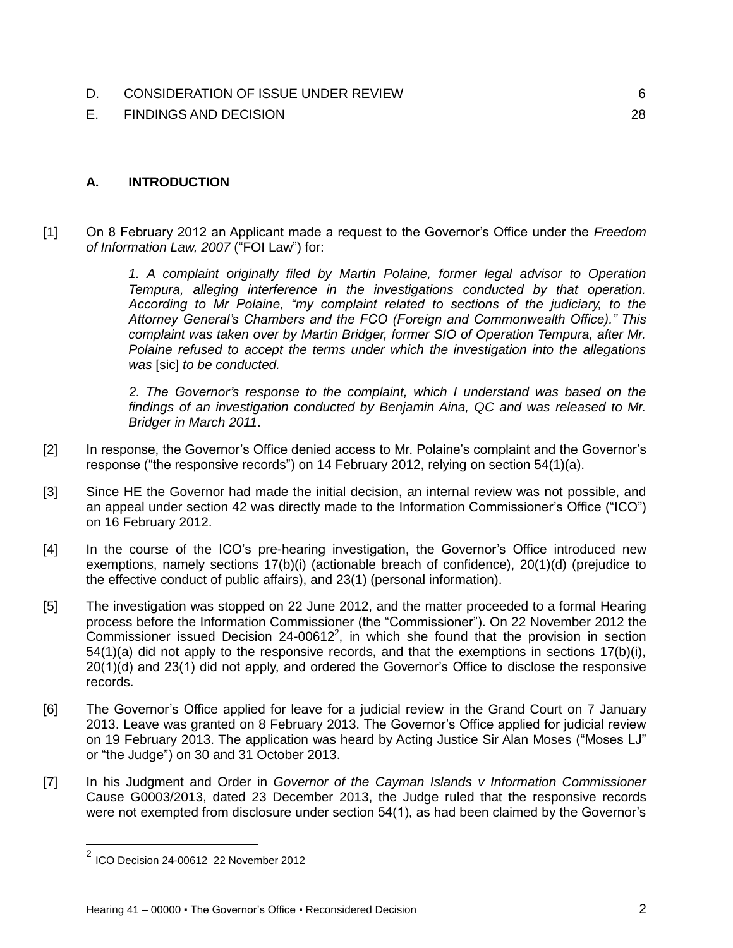## [D. CONSIDERATION OF ISSUE UNDER REVIEW](#page-5-0) **6** 6

[E. FINDINGS AND DECISION](#page-27-0) 28

# <span id="page-1-0"></span>**A. INTRODUCTION**

[1] On 8 February 2012 an Applicant made a request to the Governor's Office under the *Freedom of Information Law, 2007* ("FOI Law") for:

> *1. A complaint originally filed by Martin Polaine, former legal advisor to Operation Tempura, alleging interference in the investigations conducted by that operation. According to Mr Polaine, "my complaint related to sections of the judiciary, to the Attorney General's Chambers and the FCO (Foreign and Commonwealth Office)." This complaint was taken over by Martin Bridger, former SIO of Operation Tempura, after Mr. Polaine refused to accept the terms under which the investigation into the allegations was* [sic] *to be conducted.*

> *2. The Governor's response to the complaint, which I understand was based on the findings of an investigation conducted by Benjamin Aina, QC and was released to Mr. Bridger in March 2011*.

- [2] In response, the Governor's Office denied access to Mr. Polaine's complaint and the Governor's response ("the responsive records") on 14 February 2012, relying on section 54(1)(a).
- [3] Since HE the Governor had made the initial decision, an internal review was not possible, and an appeal under section 42 was directly made to the Information Commissioner's Office ("ICO") on 16 February 2012.
- [4] In the course of the ICO's pre-hearing investigation, the Governor's Office introduced new exemptions, namely sections 17(b)(i) (actionable breach of confidence), 20(1)(d) (prejudice to the effective conduct of public affairs), and 23(1) (personal information).
- [5] The investigation was stopped on 22 June 2012, and the matter proceeded to a formal Hearing process before the Information Commissioner (the "Commissioner"). On 22 November 2012 the Commissioner issued Decision  $24$ -0061 $2^2$ , in which she found that the provision in section 54(1)(a) did not apply to the responsive records, and that the exemptions in sections 17(b)(i), 20(1)(d) and 23(1) did not apply, and ordered the Governor's Office to disclose the responsive records.
- [6] The Governor's Office applied for leave for a judicial review in the Grand Court on 7 January 2013. Leave was granted on 8 February 2013. The Governor's Office applied for judicial review on 19 February 2013. The application was heard by Acting Justice Sir Alan Moses ("Moses LJ" or "the Judge") on 30 and 31 October 2013.
- [7] In his Judgment and Order in *Governor of the Cayman Islands v Information Commissioner*  Cause G0003/2013, dated 23 December 2013, the Judge ruled that the responsive records were not exempted from disclosure under section 54(1), as had been claimed by the Governor's

 2 ICO Decision 24-00612 22 November 2012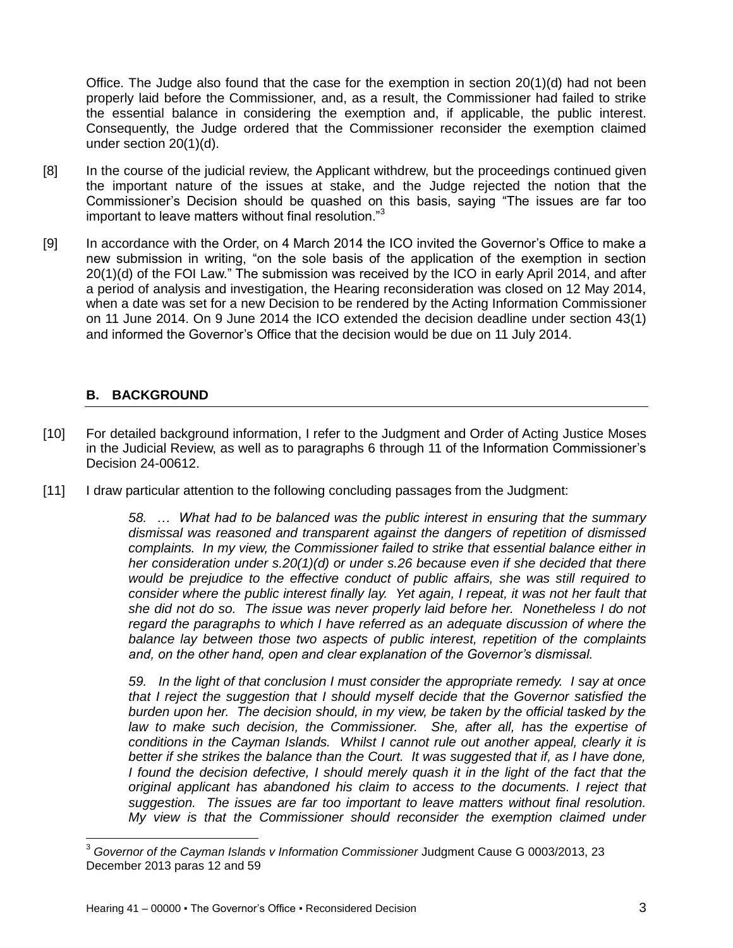Office. The Judge also found that the case for the exemption in section 20(1)(d) had not been properly laid before the Commissioner, and, as a result, the Commissioner had failed to strike the essential balance in considering the exemption and, if applicable, the public interest. Consequently, the Judge ordered that the Commissioner reconsider the exemption claimed under section 20(1)(d).

- [8] In the course of the judicial review, the Applicant withdrew, but the proceedings continued given the important nature of the issues at stake, and the Judge rejected the notion that the Commissioner's Decision should be quashed on this basis, saying "The issues are far too important to leave matters without final resolution."<sup>3</sup>
- [9] In accordance with the Order, on 4 March 2014 the ICO invited the Governor's Office to make a new submission in writing, "on the sole basis of the application of the exemption in section 20(1)(d) of the FOI Law." The submission was received by the ICO in early April 2014, and after a period of analysis and investigation, the Hearing reconsideration was closed on 12 May 2014, when a date was set for a new Decision to be rendered by the Acting Information Commissioner on 11 June 2014. On 9 June 2014 the ICO extended the decision deadline under section 43(1) and informed the Governor's Office that the decision would be due on 11 July 2014.

## <span id="page-2-0"></span>**B. BACKGROUND**

 $\overline{\phantom{a}}$ 

- [10] For detailed background information, I refer to the Judgment and Order of Acting Justice Moses in the Judicial Review, as well as to paragraphs 6 through 11 of the Information Commissioner's Decision 24-00612.
- [11] I draw particular attention to the following concluding passages from the Judgment:

*58. … What had to be balanced was the public interest in ensuring that the summary dismissal was reasoned and transparent against the dangers of repetition of dismissed complaints. In my view, the Commissioner failed to strike that essential balance either in her consideration under s.20(1)(d) or under s.26 because even if she decided that there would be prejudice to the effective conduct of public affairs, she was still required to consider where the public interest finally lay. Yet again, I repeat, it was not her fault that she did not do so. The issue was never properly laid before her. Nonetheless I do not regard the paragraphs to which I have referred as an adequate discussion of where the balance lay between those two aspects of public interest, repetition of the complaints and, on the other hand, open and clear explanation of the Governor's dismissal.* 

*59. In the light of that conclusion I must consider the appropriate remedy. I say at once that I reject the suggestion that I should myself decide that the Governor satisfied the burden upon her. The decision should, in my view, be taken by the official tasked by the law to make such decision, the Commissioner. She, after all, has the expertise of conditions in the Cayman Islands. Whilst I cannot rule out another appeal, clearly it is better if she strikes the balance than the Court. It was suggested that if, as I have done, I* found the decision defective, I should merely quash it in the light of the fact that the *original applicant has abandoned his claim to access to the documents. I reject that suggestion. The issues are far too important to leave matters without final resolution. My view is that the Commissioner should reconsider the exemption claimed under* 

<sup>3</sup> *Governor of the Cayman Islands v Information Commissioner* Judgment Cause G 0003/2013, 23 December 2013 paras 12 and 59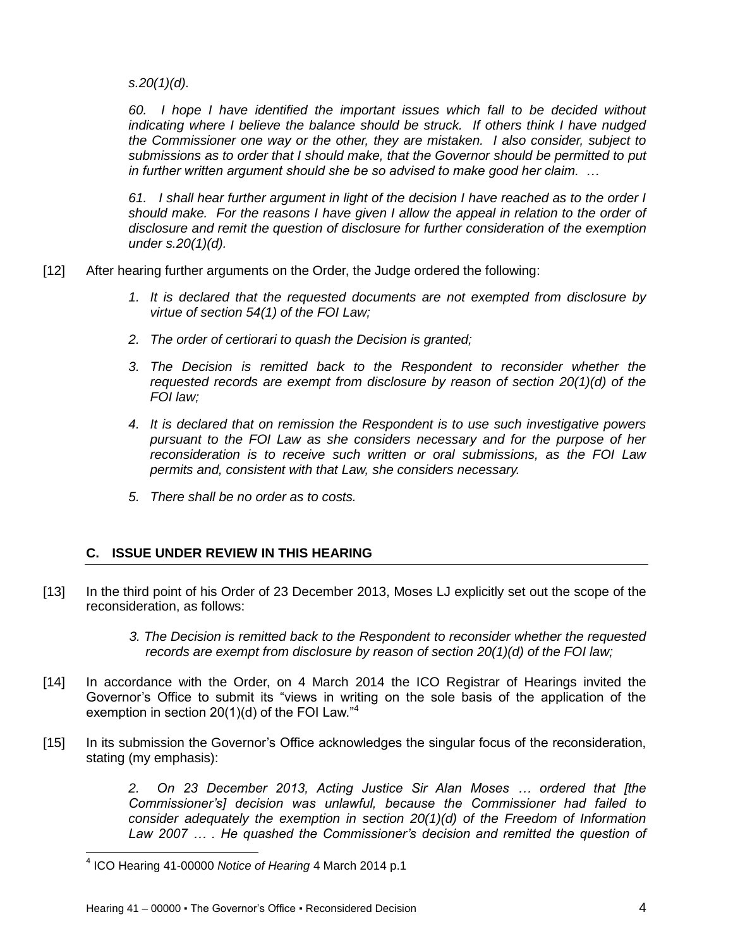*s.20(1)(d).* 

*60. I hope I have identified the important issues which fall to be decided without indicating where I believe the balance should be struck. If others think I have nudged the Commissioner one way or the other, they are mistaken. I also consider, subject to submissions as to order that I should make, that the Governor should be permitted to put in further written argument should she be so advised to make good her claim. …*

*61. I shall hear further argument in light of the decision I have reached as to the order I should make. For the reasons I have given I allow the appeal in relation to the order of disclosure and remit the question of disclosure for further consideration of the exemption under s.20(1)(d).* 

- [12] After hearing further arguments on the Order, the Judge ordered the following:
	- *1. It is declared that the requested documents are not exempted from disclosure by virtue of section 54(1) of the FOI Law;*
	- *2. The order of certiorari to quash the Decision is granted;*
	- *3. The Decision is remitted back to the Respondent to reconsider whether the requested records are exempt from disclosure by reason of section 20(1)(d) of the FOI law;*
	- *4. It is declared that on remission the Respondent is to use such investigative powers pursuant to the FOI Law as she considers necessary and for the purpose of her reconsideration is to receive such written or oral submissions, as the FOI Law permits and, consistent with that Law, she considers necessary.*
	- *5. There shall be no order as to costs.*

### <span id="page-3-0"></span>**C. ISSUE UNDER REVIEW IN THIS HEARING**

[13] In the third point of his Order of 23 December 2013, Moses LJ explicitly set out the scope of the reconsideration, as follows:

> *3. The Decision is remitted back to the Respondent to reconsider whether the requested records are exempt from disclosure by reason of section 20(1)(d) of the FOI law;*

- [14] In accordance with the Order, on 4 March 2014 the ICO Registrar of Hearings invited the Governor's Office to submit its "views in writing on the sole basis of the application of the exemption in section 20(1)(d) of the FOI Law."<sup>4</sup>
- [15] In its submission the Governor's Office acknowledges the singular focus of the reconsideration, stating (my emphasis):

*2. On 23 December 2013, Acting Justice Sir Alan Moses … ordered that [the Commissioner's] decision was unlawful, because the Commissioner had failed to consider adequately the exemption in section 20(1)(d) of the Freedom of Information*  Law 2007 ... . He quashed the Commissioner's decision and remitted the question of

 4 ICO Hearing 41-00000 *Notice of Hearing* 4 March 2014 p.1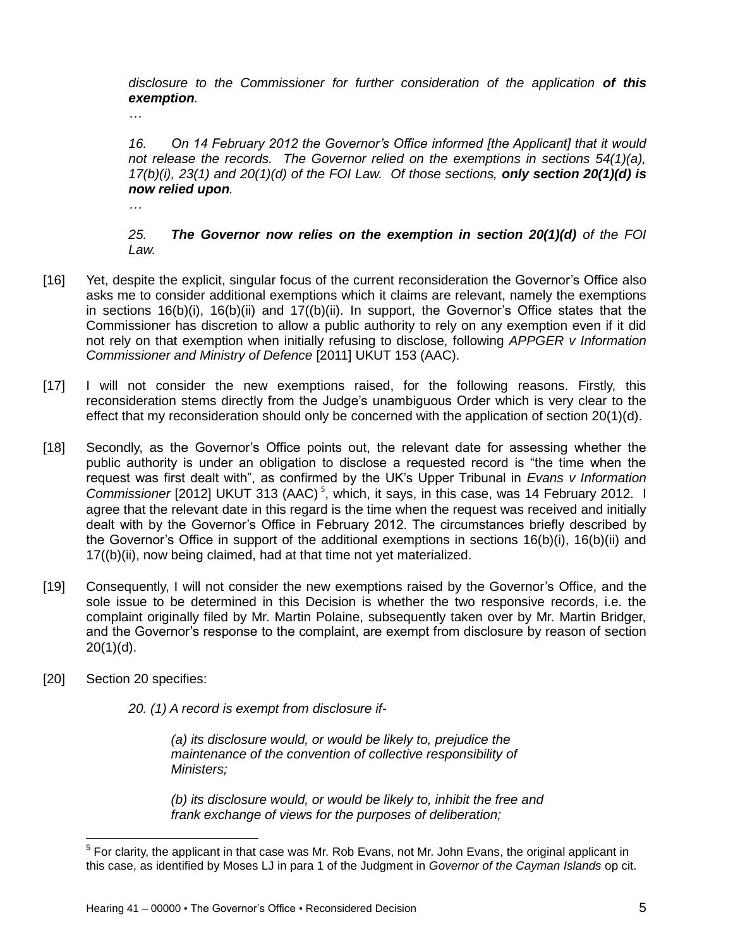*disclosure to the Commissioner for further consideration of the application of this exemption.*

*…* 

*16. On 14 February 2012 the Governor's Office informed [the Applicant] that it would not release the records. The Governor relied on the exemptions in sections 54(1)(a), 17(b)(i), 23(1) and 20(1)(d) of the FOI Law. Of those sections, only section 20(1)(d) is now relied upon.* 

*…*

*25. The Governor now relies on the exemption in section 20(1)(d) of the FOI Law.*

- [16] Yet, despite the explicit, singular focus of the current reconsideration the Governor's Office also asks me to consider additional exemptions which it claims are relevant, namely the exemptions in sections  $16(b)(i)$ ,  $16(b)(ii)$  and  $17((b)(ii)$ . In support, the Governor's Office states that the Commissioner has discretion to allow a public authority to rely on any exemption even if it did not rely on that exemption when initially refusing to disclose, following *APPGER v Information Commissioner and Ministry of Defence* [2011] UKUT 153 (AAC).
- [17] I will not consider the new exemptions raised, for the following reasons. Firstly, this reconsideration stems directly from the Judge's unambiguous Order which is very clear to the effect that my reconsideration should only be concerned with the application of section 20(1)(d).
- [18] Secondly, as the Governor's Office points out, the relevant date for assessing whether the public authority is under an obligation to disclose a requested record is "the time when the request was first dealt with", as confirmed by the UK's Upper Tribunal in *Evans v Information*  Commissioner [2012] UKUT 313 (AAC)<sup>5</sup>, which, it says, in this case, was 14 February 2012. I agree that the relevant date in this regard is the time when the request was received and initially dealt with by the Governor's Office in February 2012. The circumstances briefly described by the Governor's Office in support of the additional exemptions in sections 16(b)(i), 16(b)(ii) and 17((b)(ii), now being claimed, had at that time not yet materialized.
- [19] Consequently, I will not consider the new exemptions raised by the Governor's Office, and the sole issue to be determined in this Decision is whether the two responsive records, i.e. the complaint originally filed by Mr. Martin Polaine, subsequently taken over by Mr. Martin Bridger, and the Governor's response to the complaint, are exempt from disclosure by reason of section  $20(1)(d)$ .
- [20] Section 20 specifies:

 $\overline{\phantom{a}}$ 

*20. (1) A record is exempt from disclosure if-*

*(a) its disclosure would, or would be likely to, prejudice the maintenance of the convention of collective responsibility of Ministers;*

*(b) its disclosure would, or would be likely to, inhibit the free and frank exchange of views for the purposes of deliberation;*

 $<sup>5</sup>$  For clarity, the applicant in that case was Mr. Rob Evans, not Mr. John Evans, the original applicant in</sup> this case, as identified by Moses LJ in para 1 of the Judgment in *Governor of the Cayman Islands* op cit.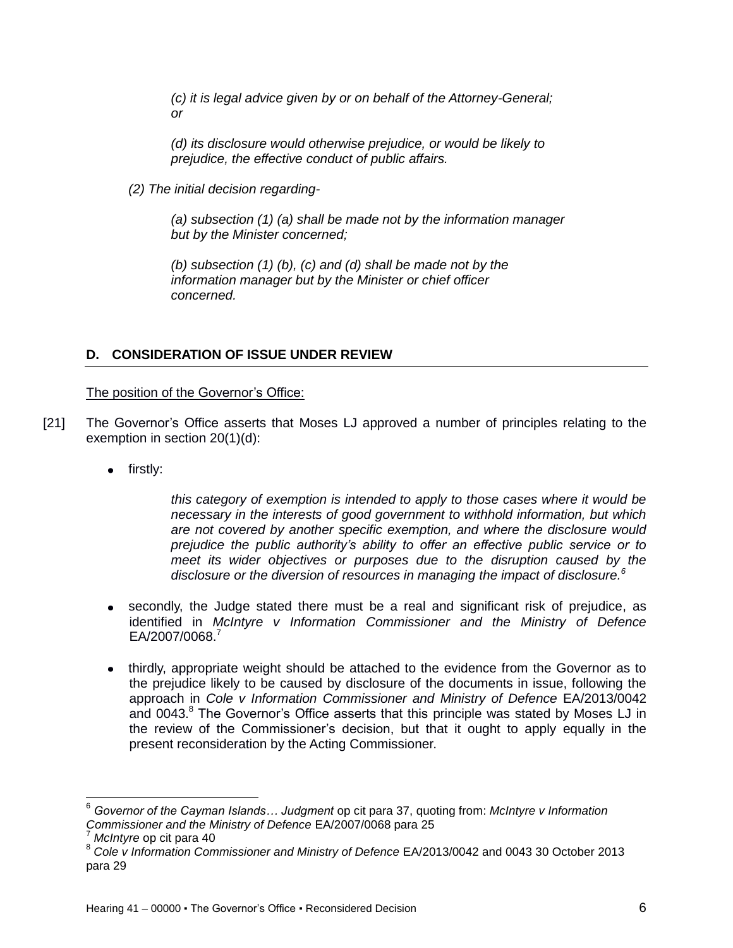*(c) it is legal advice given by or on behalf of the Attorney-General; or*

*(d) its disclosure would otherwise prejudice, or would be likely to prejudice, the effective conduct of public affairs.*

*(2) The initial decision regarding-*

*(a) subsection (1) (a) shall be made not by the information manager but by the Minister concerned;*

*(b) subsection (1) (b), (c) and (d) shall be made not by the information manager but by the Minister or chief officer concerned.*

### <span id="page-5-0"></span>**D. CONSIDERATION OF ISSUE UNDER REVIEW**

#### The position of the Governor's Office:

- [21] The Governor's Office asserts that Moses LJ approved a number of principles relating to the exemption in section 20(1)(d):
	- firstly:

*this category of exemption is intended to apply to those cases where it would be necessary in the interests of good government to withhold information, but which are not covered by another specific exemption, and where the disclosure would prejudice the public authority's ability to offer an effective public service or to meet its wider objectives or purposes due to the disruption caused by the disclosure or the diversion of resources in managing the impact of disclosure.<sup>6</sup>*

- secondly, the Judge stated there must be a real and significant risk of prejudice, as identified in *McIntyre v Information Commissioner and the Ministry of Defence*  EA/2007/0068.<sup>7</sup>
- thirdly, appropriate weight should be attached to the evidence from the Governor as to the prejudice likely to be caused by disclosure of the documents in issue, following the approach in *Cole v Information Commissioner and Ministry of Defence* EA/2013/0042 and  $0043$ . $8$  The Governor's Office asserts that this principle was stated by Moses LJ in the review of the Commissioner's decision, but that it ought to apply equally in the present reconsideration by the Acting Commissioner.

 $\overline{a}$ 

<sup>6</sup> *Governor of the Cayman Islands… Judgment* op cit para 37, quoting from: *McIntyre v Information Commissioner and the Ministry of Defence* EA/2007/0068 para 25

<sup>7</sup> *McIntyre* op cit para 40

<sup>8</sup> *Cole v Information Commissioner and Ministry of Defence* EA/2013/0042 and 0043 30 October 2013 para 29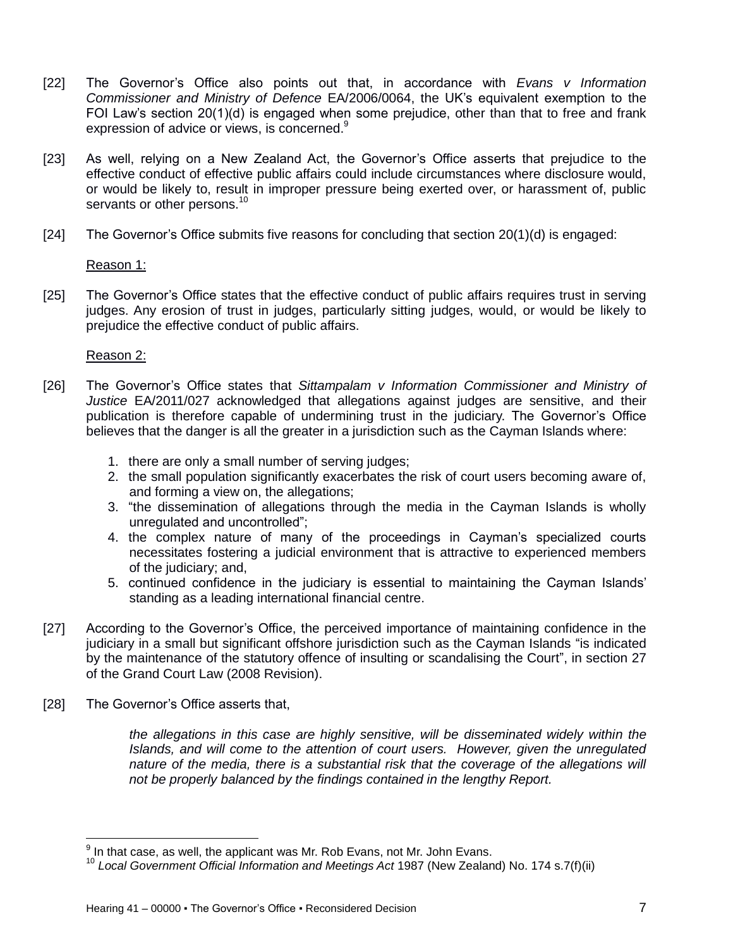- [22] The Governor's Office also points out that, in accordance with *Evans v Information Commissioner and Ministry of Defence* EA/2006/0064, the UK's equivalent exemption to the FOI Law's section 20(1)(d) is engaged when some prejudice, other than that to free and frank expression of advice or views, is concerned.<sup>9</sup>
- [23] As well, relying on a New Zealand Act, the Governor's Office asserts that prejudice to the effective conduct of effective public affairs could include circumstances where disclosure would, or would be likely to, result in improper pressure being exerted over, or harassment of, public servants or other persons.<sup>10</sup>
- [24] The Governor's Office submits five reasons for concluding that section 20(1)(d) is engaged:

Reason 1:

[25] The Governor's Office states that the effective conduct of public affairs requires trust in serving judges. Any erosion of trust in judges, particularly sitting judges, would, or would be likely to prejudice the effective conduct of public affairs.

Reason 2:

- [26] The Governor's Office states that *Sittampalam v Information Commissioner and Ministry of Justice* EA/2011/027 acknowledged that allegations against judges are sensitive, and their publication is therefore capable of undermining trust in the judiciary. The Governor's Office believes that the danger is all the greater in a jurisdiction such as the Cayman Islands where:
	- 1. there are only a small number of serving judges;
	- 2. the small population significantly exacerbates the risk of court users becoming aware of, and forming a view on, the allegations;
	- 3. "the dissemination of allegations through the media in the Cayman Islands is wholly unregulated and uncontrolled";
	- 4. the complex nature of many of the proceedings in Cayman's specialized courts necessitates fostering a judicial environment that is attractive to experienced members of the judiciary; and,
	- 5. continued confidence in the judiciary is essential to maintaining the Cayman Islands' standing as a leading international financial centre.
- [27] According to the Governor's Office, the perceived importance of maintaining confidence in the judiciary in a small but significant offshore jurisdiction such as the Cayman Islands "is indicated by the maintenance of the statutory offence of insulting or scandalising the Court", in section 27 of the Grand Court Law (2008 Revision).
- [28] The Governor's Office asserts that,

 $\overline{\phantom{a}}$ 

*the allegations in this case are highly sensitive, will be disseminated widely within the Islands, and will come to the attention of court users. However, given the unregulated nature of the media, there is a substantial risk that the coverage of the allegations will not be properly balanced by the findings contained in the lengthy Report.*

 $9$  In that case, as well, the applicant was Mr. Rob Evans, not Mr. John Evans.

<sup>10</sup> *Local Government Official Information and Meetings Act* 1987 (New Zealand) No. 174 s.7(f)(ii)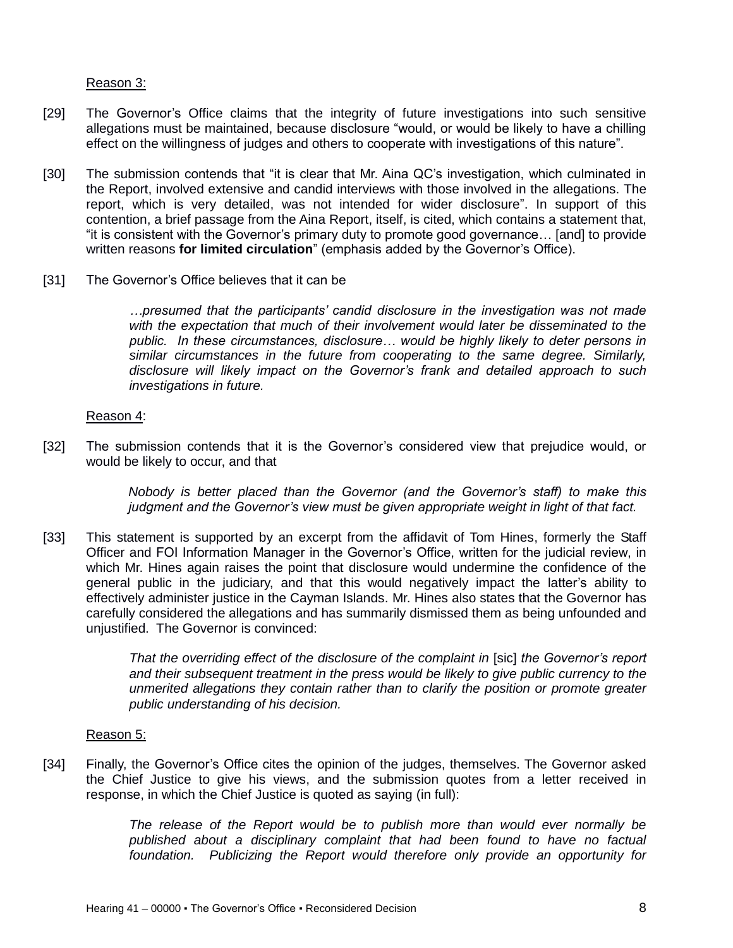#### Reason 3:

- [29] The Governor's Office claims that the integrity of future investigations into such sensitive allegations must be maintained, because disclosure "would, or would be likely to have a chilling effect on the willingness of judges and others to cooperate with investigations of this nature".
- [30] The submission contends that "it is clear that Mr. Aina QC's investigation, which culminated in the Report, involved extensive and candid interviews with those involved in the allegations. The report, which is very detailed, was not intended for wider disclosure". In support of this contention, a brief passage from the Aina Report, itself, is cited, which contains a statement that, "it is consistent with the Governor's primary duty to promote good governance… [and] to provide written reasons **for limited circulation**" (emphasis added by the Governor's Office).
- [31] The Governor's Office believes that it can be

*…presumed that the participants' candid disclosure in the investigation was not made with the expectation that much of their involvement would later be disseminated to the public. In these circumstances, disclosure… would be highly likely to deter persons in similar circumstances in the future from cooperating to the same degree. Similarly, disclosure will likely impact on the Governor's frank and detailed approach to such investigations in future.*

#### Reason 4:

[32] The submission contends that it is the Governor's considered view that prejudice would, or would be likely to occur, and that

> *Nobody is better placed than the Governor (and the Governor's staff) to make this judgment and the Governor's view must be given appropriate weight in light of that fact.*

[33] This statement is supported by an excerpt from the affidavit of Tom Hines, formerly the Staff Officer and FOI Information Manager in the Governor's Office, written for the judicial review, in which Mr. Hines again raises the point that disclosure would undermine the confidence of the general public in the judiciary, and that this would negatively impact the latter's ability to effectively administer justice in the Cayman Islands. Mr. Hines also states that the Governor has carefully considered the allegations and has summarily dismissed them as being unfounded and unjustified. The Governor is convinced:

> *That the overriding effect of the disclosure of the complaint in* [sic] *the Governor's report and their subsequent treatment in the press would be likely to give public currency to the unmerited allegations they contain rather than to clarify the position or promote greater public understanding of his decision.*

#### Reason 5:

[34] Finally, the Governor's Office cites the opinion of the judges, themselves. The Governor asked the Chief Justice to give his views, and the submission quotes from a letter received in response, in which the Chief Justice is quoted as saying (in full):

> *The release of the Report would be to publish more than would ever normally be published about a disciplinary complaint that had been found to have no factual foundation. Publicizing the Report would therefore only provide an opportunity for*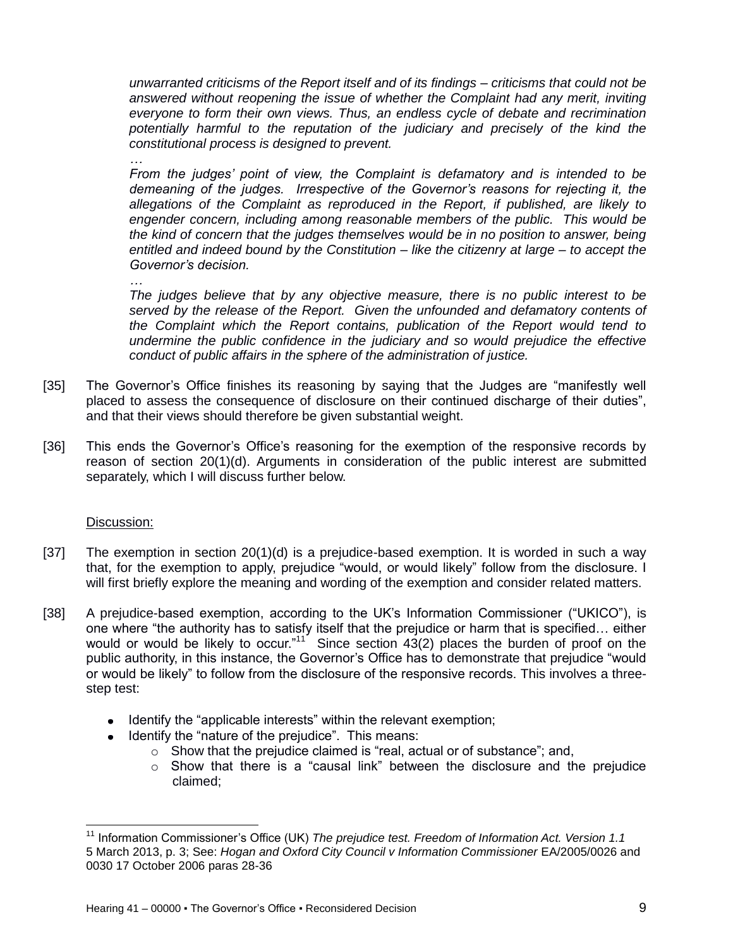*unwarranted criticisms of the Report itself and of its findings – criticisms that could not be answered without reopening the issue of whether the Complaint had any merit, inviting everyone to form their own views. Thus, an endless cycle of debate and recrimination potentially harmful to the reputation of the judiciary and precisely of the kind the constitutional process is designed to prevent.* 

*…*

*From the judges' point of view, the Complaint is defamatory and is intended to be demeaning of the judges. Irrespective of the Governor's reasons for rejecting it, the allegations of the Complaint as reproduced in the Report, if published, are likely to engender concern, including among reasonable members of the public. This would be the kind of concern that the judges themselves would be in no position to answer, being entitled and indeed bound by the Constitution – like the citizenry at large – to accept the Governor's decision.* 

*…*

*The judges believe that by any objective measure, there is no public interest to be served by the release of the Report. Given the unfounded and defamatory contents of the Complaint which the Report contains, publication of the Report would tend to undermine the public confidence in the judiciary and so would prejudice the effective conduct of public affairs in the sphere of the administration of justice.* 

- [35] The Governor's Office finishes its reasoning by saying that the Judges are "manifestly well placed to assess the consequence of disclosure on their continued discharge of their duties", and that their views should therefore be given substantial weight.
- [36] This ends the Governor's Office's reasoning for the exemption of the responsive records by reason of section 20(1)(d). Arguments in consideration of the public interest are submitted separately, which I will discuss further below.

### Discussion:

- [37] The exemption in section 20(1)(d) is a prejudice-based exemption. It is worded in such a way that, for the exemption to apply, prejudice "would, or would likely" follow from the disclosure. I will first briefly explore the meaning and wording of the exemption and consider related matters.
- [38] A prejudice-based exemption, according to the UK's Information Commissioner ("UKICO"), is one where "the authority has to satisfy itself that the prejudice or harm that is specified… either would or would be likely to occur."<sup>11</sup> Since section  $43(2)$  places the burden of proof on the public authority, in this instance, the Governor's Office has to demonstrate that prejudice "would or would be likely" to follow from the disclosure of the responsive records. This involves a threestep test:
	- Identify the "applicable interests" within the relevant exemption;
	- Identify the "nature of the prejudice". This means:
		- $\circ$  Show that the prejudice claimed is "real, actual or of substance"; and,
		- $\circ$  Show that there is a "causal link" between the disclosure and the prejudice claimed;

 $\overline{\phantom{a}}$ <sup>11</sup> Information Commissioner's Office (UK) *The prejudice test. Freedom of Information Act. Version 1.1* 5 March 2013, p. 3; See: *Hogan and Oxford City Council v Information Commissioner* EA/2005/0026 and 0030 17 October 2006 paras 28-36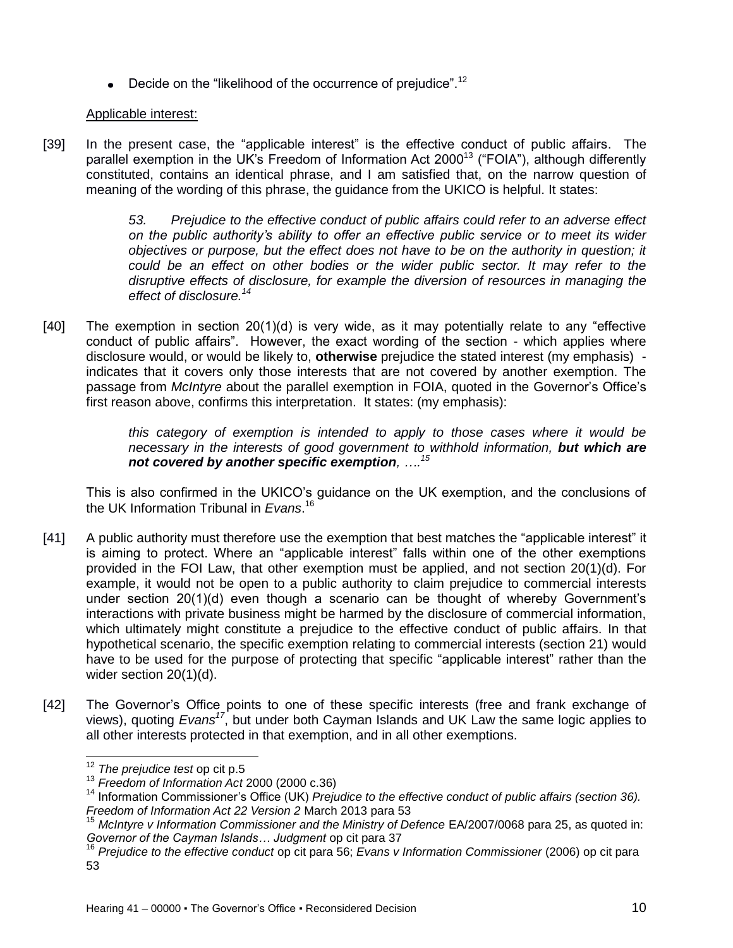**•** Decide on the "likelihood of the occurrence of prejudice".<sup>12</sup>

## Applicable interest:

[39] In the present case, the "applicable interest" is the effective conduct of public affairs. The parallel exemption in the UK's Freedom of Information Act 2000<sup>13</sup> ("FOIA"), although differently constituted, contains an identical phrase, and I am satisfied that, on the narrow question of meaning of the wording of this phrase, the guidance from the UKICO is helpful. It states:

> *53. Prejudice to the effective conduct of public affairs could refer to an adverse effect on the public authority's ability to offer an effective public service or to meet its wider objectives or purpose, but the effect does not have to be on the authority in question; it could be an effect on other bodies or the wider public sector. It may refer to the disruptive effects of disclosure, for example the diversion of resources in managing the effect of disclosure.<sup>14</sup>*

[40] The exemption in section 20(1)(d) is very wide, as it may potentially relate to any "effective conduct of public affairs". However, the exact wording of the section - which applies where disclosure would, or would be likely to, **otherwise** prejudice the stated interest (my emphasis) indicates that it covers only those interests that are not covered by another exemption. The passage from *McIntyre* about the parallel exemption in FOIA, quoted in the Governor's Office's first reason above, confirms this interpretation. It states: (my emphasis):

> *this category of exemption is intended to apply to those cases where it would be necessary in the interests of good government to withhold information, but which are not covered by another specific exemption, …. 15*

This is also confirmed in the UKICO's guidance on the UK exemption, and the conclusions of the UK Information Tribunal in *Evans*. 16

- [41] A public authority must therefore use the exemption that best matches the "applicable interest" it is aiming to protect. Where an "applicable interest" falls within one of the other exemptions provided in the FOI Law, that other exemption must be applied, and not section 20(1)(d). For example, it would not be open to a public authority to claim prejudice to commercial interests under section 20(1)(d) even though a scenario can be thought of whereby Government's interactions with private business might be harmed by the disclosure of commercial information, which ultimately might constitute a prejudice to the effective conduct of public affairs. In that hypothetical scenario, the specific exemption relating to commercial interests (section 21) would have to be used for the purpose of protecting that specific "applicable interest" rather than the wider section 20(1)(d).
- [42] The Governor's Office points to one of these specific interests (free and frank exchange of views), quoting *Evans<sup>17</sup>*, but under both Cayman Islands and UK Law the same logic applies to all other interests protected in that exemption, and in all other exemptions.

 $\overline{a}$ 

<sup>12</sup> *The prejudice test* op cit p.5

<sup>13</sup> *Freedom of Information Act* 2000 (2000 c.36)

<sup>&</sup>lt;sup>14</sup> Information Commissioner's Office (UK) *Prejudice to the effective conduct of public affairs (section 36). Freedom of Information Act 22 Version 2* March 2013 para 53

<sup>15</sup> *McIntyre v Information Commissioner and the Ministry of Defence* EA/2007/0068 para 25, as quoted in: *Governor of the Cayman Islands… Judgment* op cit para 37

<sup>16</sup> *Prejudice to the effective conduct* op cit para 56; *Evans v Information Commissioner* (2006) op cit para 53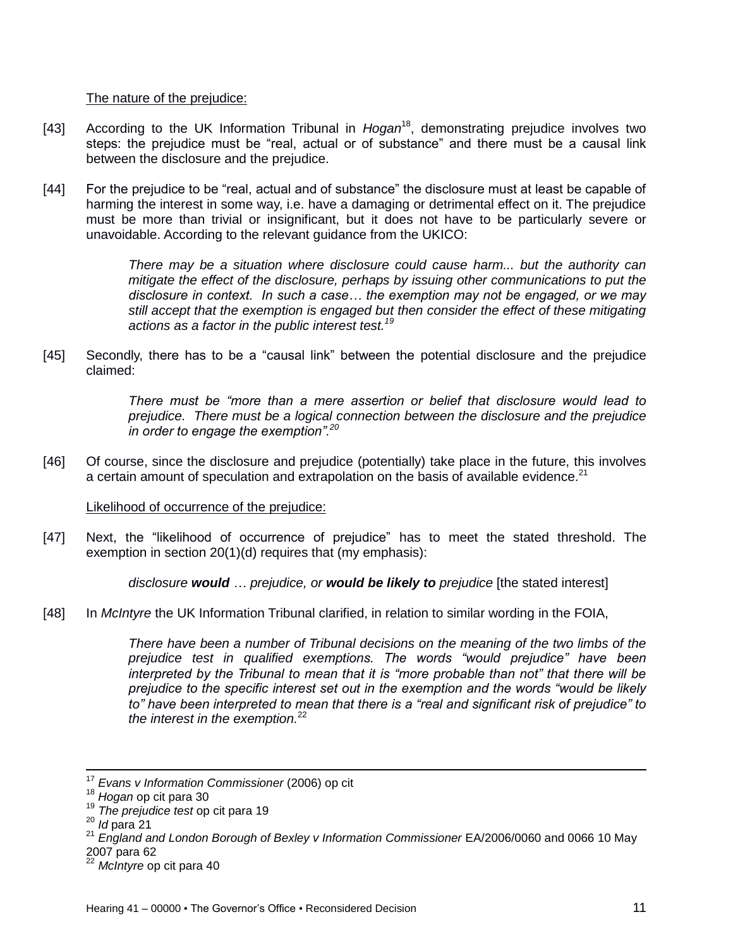### The nature of the prejudice:

- [43] According to the UK Information Tribunal in *Hogan*<sup>18</sup> , demonstrating prejudice involves two steps: the prejudice must be "real, actual or of substance" and there must be a causal link between the disclosure and the prejudice.
- [44] For the prejudice to be "real, actual and of substance" the disclosure must at least be capable of harming the interest in some way, i.e. have a damaging or detrimental effect on it. The prejudice must be more than trivial or insignificant, but it does not have to be particularly severe or unavoidable. According to the relevant guidance from the UKICO:

*There may be a situation where disclosure could cause harm... but the authority can mitigate the effect of the disclosure, perhaps by issuing other communications to put the disclosure in context. In such a case… the exemption may not be engaged, or we may still accept that the exemption is engaged but then consider the effect of these mitigating actions as a factor in the public interest test.<sup>19</sup>*

[45] Secondly, there has to be a "causal link" between the potential disclosure and the prejudice claimed:

> *There must be "more than a mere assertion or belief that disclosure would lead to prejudice. There must be a logical connection between the disclosure and the prejudice in order to engage the exemption".<sup>20</sup>*

[46] Of course, since the disclosure and prejudice (potentially) take place in the future, this involves a certain amount of speculation and extrapolation on the basis of available evidence.<sup>21</sup>

#### Likelihood of occurrence of the prejudice:

[47] Next, the "likelihood of occurrence of prejudice" has to meet the stated threshold. The exemption in section 20(1)(d) requires that (my emphasis):

*disclosure would … prejudice, or would be likely to prejudice* [the stated interest]

[48] In *McIntyre* the UK Information Tribunal clarified, in relation to similar wording in the FOIA,

*There have been a number of Tribunal decisions on the meaning of the two limbs of the prejudice test in qualified exemptions. The words "would prejudice" have been interpreted by the Tribunal to mean that it is "more probable than not" that there will be prejudice to the specific interest set out in the exemption and the words "would be likely to" have been interpreted to mean that there is a "real and significant risk of prejudice" to the interest in the exemption.* 22

<sup>17</sup> *Evans v Information Commissioner* (2006) op cit

<sup>18</sup> *Hogan* op cit para 30

<sup>19</sup> *The prejudice test* op cit para 19

<sup>20</sup> *Id* para 21

<sup>&</sup>lt;sup>21</sup> England and London Borough of Bexley v Information Commissioner EA/2006/0060 and 0066 10 May 2007 para 62

<sup>22</sup> *McIntyre* op cit para 40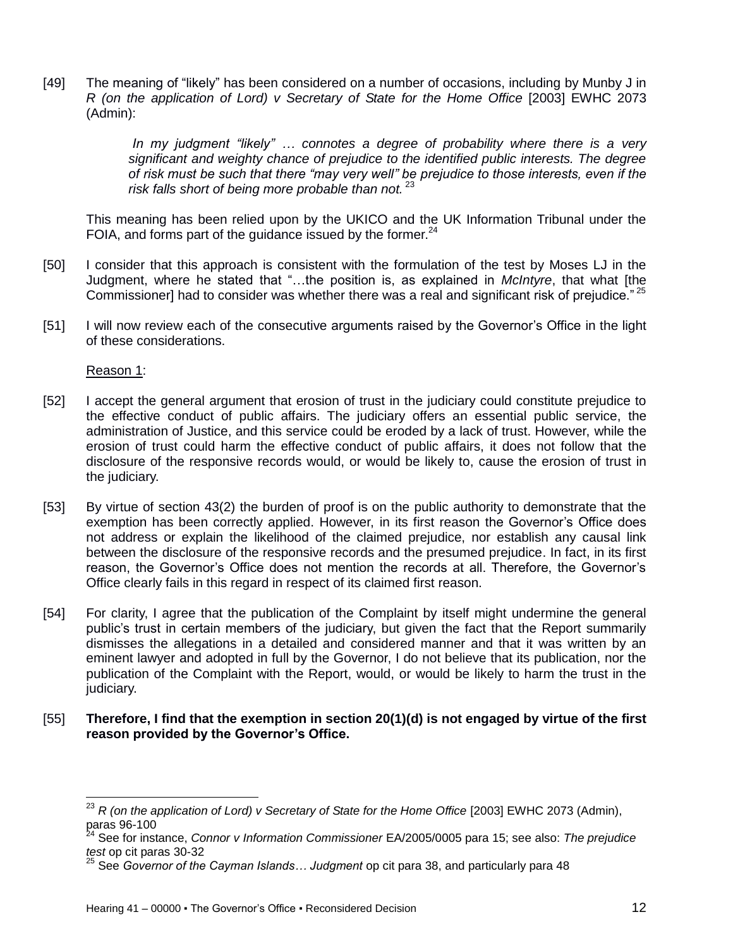[49] The meaning of "likely" has been considered on a number of occasions, including by Munby J in *R (on the application of Lord) v Secretary of State for the Home Office* [2003] EWHC 2073 (Admin):

> *In my judgment "likely" … connotes a degree of probability where there is a very significant and weighty chance of prejudice to the identified public interests. The degree of risk must be such that there "may very well" be prejudice to those interests, even if the risk falls short of being more probable than not.* <sup>23</sup>

This meaning has been relied upon by the UKICO and the UK Information Tribunal under the FOIA, and forms part of the guidance issued by the former. $24$ 

- [50] I consider that this approach is consistent with the formulation of the test by Moses LJ in the Judgment, where he stated that "…the position is, as explained in *McIntyre*, that what [the Commissioner] had to consider was whether there was a real and significant risk of prejudice."<sup>25</sup>
- [51] I will now review each of the consecutive arguments raised by the Governor's Office in the light of these considerations.

Reason 1:

 $\overline{a}$ 

- [52] I accept the general argument that erosion of trust in the judiciary could constitute prejudice to the effective conduct of public affairs. The judiciary offers an essential public service, the administration of Justice, and this service could be eroded by a lack of trust. However, while the erosion of trust could harm the effective conduct of public affairs, it does not follow that the disclosure of the responsive records would, or would be likely to, cause the erosion of trust in the judiciary.
- [53] By virtue of section 43(2) the burden of proof is on the public authority to demonstrate that the exemption has been correctly applied. However, in its first reason the Governor's Office does not address or explain the likelihood of the claimed prejudice, nor establish any causal link between the disclosure of the responsive records and the presumed prejudice. In fact, in its first reason, the Governor's Office does not mention the records at all. Therefore, the Governor's Office clearly fails in this regard in respect of its claimed first reason.
- [54] For clarity, I agree that the publication of the Complaint by itself might undermine the general public's trust in certain members of the judiciary, but given the fact that the Report summarily dismisses the allegations in a detailed and considered manner and that it was written by an eminent lawyer and adopted in full by the Governor, I do not believe that its publication, nor the publication of the Complaint with the Report, would, or would be likely to harm the trust in the judiciary.
- [55] **Therefore, I find that the exemption in section 20(1)(d) is not engaged by virtue of the first reason provided by the Governor's Office.**

<sup>23</sup> *R (on the application of Lord) v Secretary of State for the Home Office* [2003] EWHC 2073 (Admin), paras 96-100

<sup>24</sup> See for instance, *Connor v Information Commissioner* EA/2005/0005 para 15; see also: *The prejudice test* op cit paras 30-32

<sup>25</sup> See *Governor of the Cayman Islands… Judgment* op cit para 38, and particularly para 48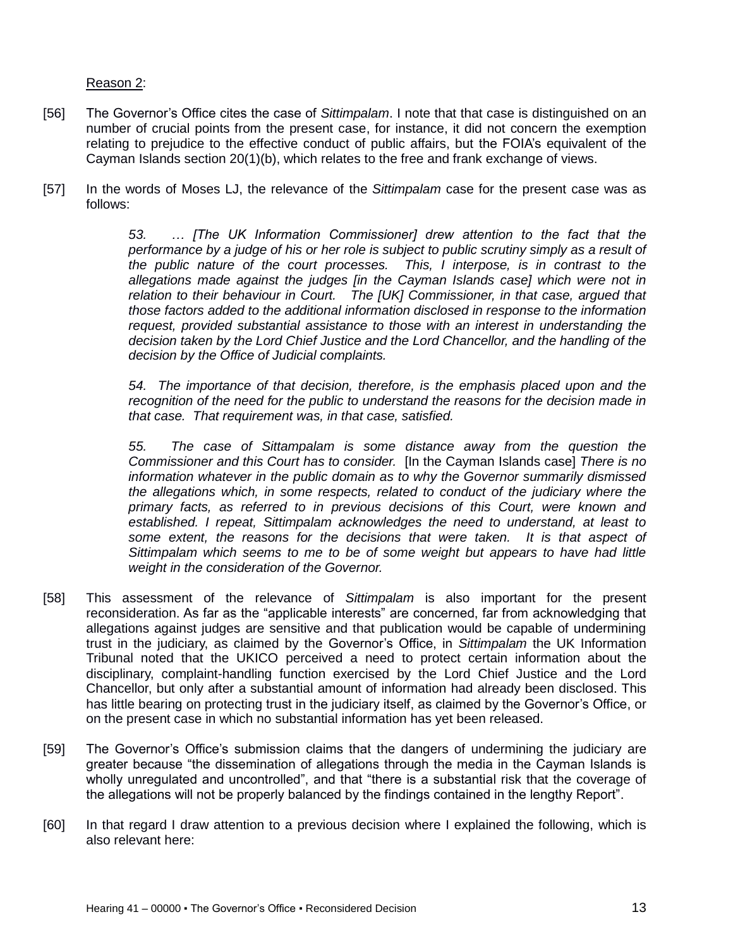### Reason 2:

- [56] The Governor's Office cites the case of *Sittimpalam*. I note that that case is distinguished on an number of crucial points from the present case, for instance, it did not concern the exemption relating to prejudice to the effective conduct of public affairs, but the FOIA's equivalent of the Cayman Islands section 20(1)(b), which relates to the free and frank exchange of views.
- [57] In the words of Moses LJ, the relevance of the *Sittimpalam* case for the present case was as follows:

*53. … [The UK Information Commissioner] drew attention to the fact that the performance by a judge of his or her role is subject to public scrutiny simply as a result of the public nature of the court processes. This, I interpose, is in contrast to the allegations made against the judges [in the Cayman Islands case] which were not in relation to their behaviour in Court. The [UK] Commissioner, in that case, argued that those factors added to the additional information disclosed in response to the information request, provided substantial assistance to those with an interest in understanding the decision taken by the Lord Chief Justice and the Lord Chancellor, and the handling of the decision by the Office of Judicial complaints.* 

*54. The importance of that decision, therefore, is the emphasis placed upon and the recognition of the need for the public to understand the reasons for the decision made in that case. That requirement was, in that case, satisfied.* 

*55. The case of Sittampalam is some distance away from the question the Commissioner and this Court has to consider.* [In the Cayman Islands case] *There is no information whatever in the public domain as to why the Governor summarily dismissed the allegations which, in some respects, related to conduct of the judiciary where the primary facts, as referred to in previous decisions of this Court, were known and established. I repeat, Sittimpalam acknowledges the need to understand, at least to*  some extent, the reasons for the decisions that were taken. It is that aspect of *Sittimpalam which seems to me to be of some weight but appears to have had little weight in the consideration of the Governor.*

- [58] This assessment of the relevance of *Sittimpalam* is also important for the present reconsideration. As far as the "applicable interests" are concerned, far from acknowledging that allegations against judges are sensitive and that publication would be capable of undermining trust in the judiciary, as claimed by the Governor's Office, in *Sittimpalam* the UK Information Tribunal noted that the UKICO perceived a need to protect certain information about the disciplinary, complaint-handling function exercised by the Lord Chief Justice and the Lord Chancellor, but only after a substantial amount of information had already been disclosed. This has little bearing on protecting trust in the judiciary itself, as claimed by the Governor's Office, or on the present case in which no substantial information has yet been released.
- [59] The Governor's Office's submission claims that the dangers of undermining the judiciary are greater because "the dissemination of allegations through the media in the Cayman Islands is wholly unregulated and uncontrolled", and that "there is a substantial risk that the coverage of the allegations will not be properly balanced by the findings contained in the lengthy Report".
- [60] In that regard I draw attention to a previous decision where I explained the following, which is also relevant here: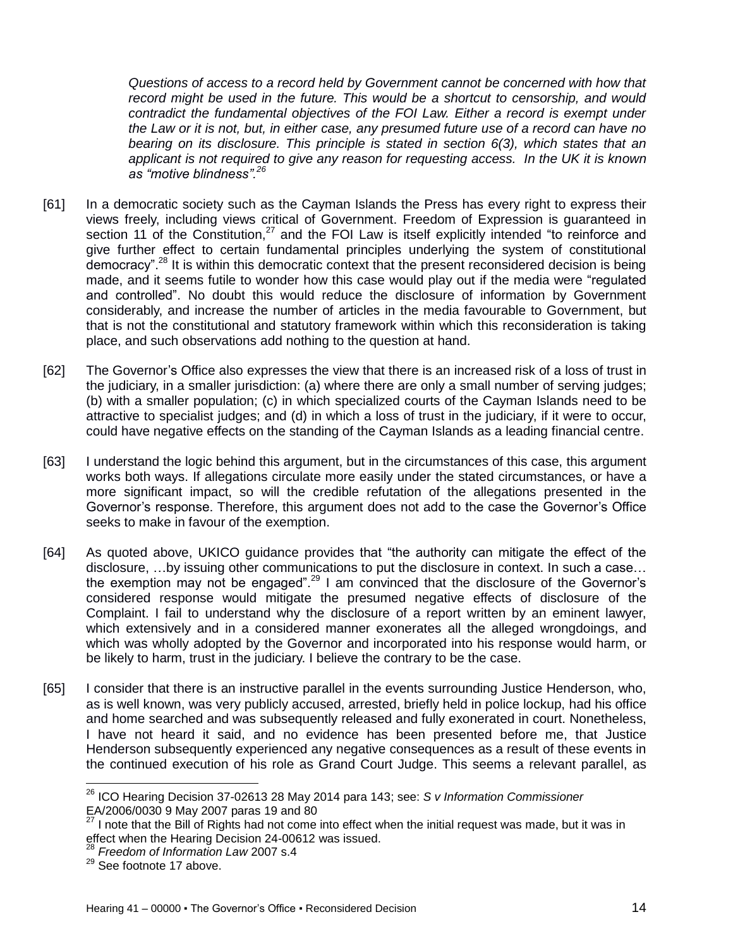*Questions of access to a record held by Government cannot be concerned with how that record might be used in the future. This would be a shortcut to censorship, and would contradict the fundamental objectives of the FOI Law. Either a record is exempt under the Law or it is not, but, in either case, any presumed future use of a record can have no bearing on its disclosure. This principle is stated in section 6(3), which states that an applicant is not required to give any reason for requesting access. In the UK it is known as "motive blindness".<sup>26</sup>*

- [61] In a democratic society such as the Cayman Islands the Press has every right to express their views freely, including views critical of Government. Freedom of Expression is guaranteed in section 11 of the Constitution, $27$  and the FOI Law is itself explicitly intended "to reinforce and give further effect to certain fundamental principles underlying the system of constitutional democracy".<sup>28</sup> It is within this democratic context that the present reconsidered decision is being made, and it seems futile to wonder how this case would play out if the media were "regulated and controlled". No doubt this would reduce the disclosure of information by Government considerably, and increase the number of articles in the media favourable to Government, but that is not the constitutional and statutory framework within which this reconsideration is taking place, and such observations add nothing to the question at hand.
- [62] The Governor's Office also expresses the view that there is an increased risk of a loss of trust in the judiciary, in a smaller jurisdiction: (a) where there are only a small number of serving judges; (b) with a smaller population; (c) in which specialized courts of the Cayman Islands need to be attractive to specialist judges; and (d) in which a loss of trust in the judiciary, if it were to occur, could have negative effects on the standing of the Cayman Islands as a leading financial centre.
- [63] I understand the logic behind this argument, but in the circumstances of this case, this argument works both ways. If allegations circulate more easily under the stated circumstances, or have a more significant impact, so will the credible refutation of the allegations presented in the Governor's response. Therefore, this argument does not add to the case the Governor's Office seeks to make in favour of the exemption.
- [64] As quoted above, UKICO guidance provides that "the authority can mitigate the effect of the disclosure, …by issuing other communications to put the disclosure in context. In such a case… the exemption may not be engaged".<sup>29</sup> I am convinced that the disclosure of the Governor's considered response would mitigate the presumed negative effects of disclosure of the Complaint. I fail to understand why the disclosure of a report written by an eminent lawyer, which extensively and in a considered manner exonerates all the alleged wrongdoings, and which was wholly adopted by the Governor and incorporated into his response would harm, or be likely to harm, trust in the judiciary. I believe the contrary to be the case.
- [65] I consider that there is an instructive parallel in the events surrounding Justice Henderson, who, as is well known, was very publicly accused, arrested, briefly held in police lockup, had his office and home searched and was subsequently released and fully exonerated in court. Nonetheless, I have not heard it said, and no evidence has been presented before me, that Justice Henderson subsequently experienced any negative consequences as a result of these events in the continued execution of his role as Grand Court Judge. This seems a relevant parallel, as

l

<sup>26</sup> ICO Hearing Decision 37-02613 28 May 2014 para 143; see: *S v Information Commissioner* EA/2006/0030 9 May 2007 paras 19 and 80

 $27$  I note that the Bill of Rights had not come into effect when the initial request was made, but it was in effect when the Hearing Decision 24-00612 was issued.

<sup>28</sup> *Freedom of Information Law* 2007 s.4

<sup>&</sup>lt;sup>29</sup> See footnote 17 above.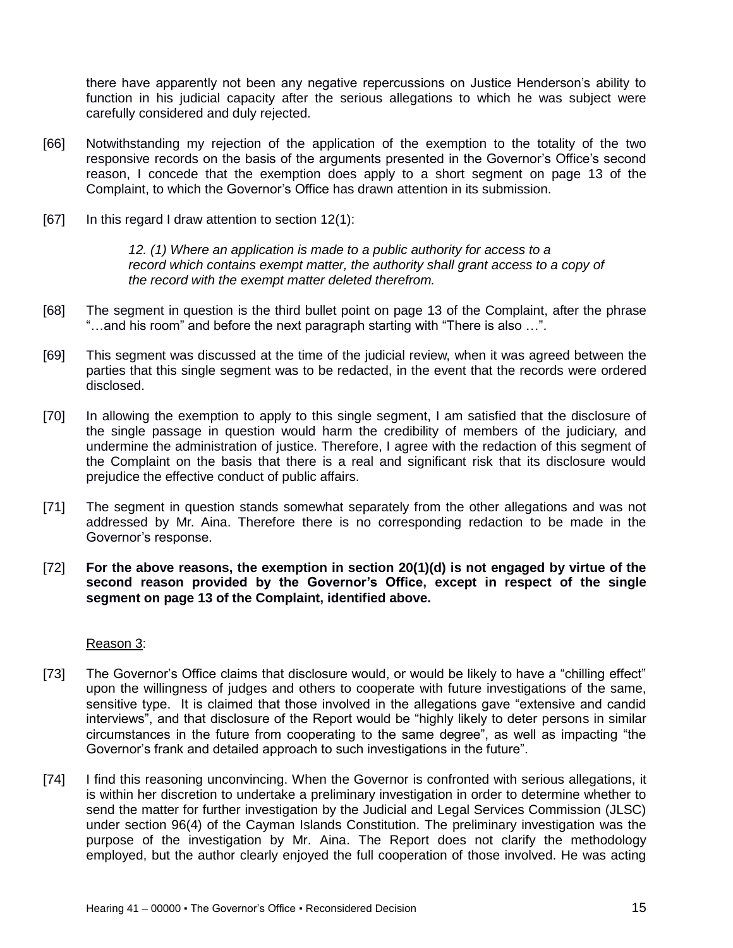there have apparently not been any negative repercussions on Justice Henderson's ability to function in his judicial capacity after the serious allegations to which he was subject were carefully considered and duly rejected.

- [66] Notwithstanding my rejection of the application of the exemption to the totality of the two responsive records on the basis of the arguments presented in the Governor's Office's second reason, I concede that the exemption does apply to a short segment on page 13 of the Complaint, to which the Governor's Office has drawn attention in its submission.
- [67] In this regard I draw attention to section 12(1):

*12. (1) Where an application is made to a public authority for access to a record which contains exempt matter, the authority shall grant access to a copy of the record with the exempt matter deleted therefrom.*

- [68] The segment in question is the third bullet point on page 13 of the Complaint, after the phrase "…and his room" and before the next paragraph starting with "There is also …".
- [69] This segment was discussed at the time of the judicial review, when it was agreed between the parties that this single segment was to be redacted, in the event that the records were ordered disclosed.
- [70] In allowing the exemption to apply to this single segment, I am satisfied that the disclosure of the single passage in question would harm the credibility of members of the judiciary, and undermine the administration of justice. Therefore, I agree with the redaction of this segment of the Complaint on the basis that there is a real and significant risk that its disclosure would prejudice the effective conduct of public affairs.
- [71] The segment in question stands somewhat separately from the other allegations and was not addressed by Mr. Aina. Therefore there is no corresponding redaction to be made in the Governor's response.
- [72] **For the above reasons, the exemption in section 20(1)(d) is not engaged by virtue of the second reason provided by the Governor's Office, except in respect of the single segment on page 13 of the Complaint, identified above.**

#### Reason 3:

- [73] The Governor's Office claims that disclosure would, or would be likely to have a "chilling effect" upon the willingness of judges and others to cooperate with future investigations of the same, sensitive type. It is claimed that those involved in the allegations gave "extensive and candid interviews", and that disclosure of the Report would be "highly likely to deter persons in similar circumstances in the future from cooperating to the same degree", as well as impacting "the Governor's frank and detailed approach to such investigations in the future".
- [74] I find this reasoning unconvincing. When the Governor is confronted with serious allegations, it is within her discretion to undertake a preliminary investigation in order to determine whether to send the matter for further investigation by the Judicial and Legal Services Commission (JLSC) under section 96(4) of the Cayman Islands Constitution. The preliminary investigation was the purpose of the investigation by Mr. Aina. The Report does not clarify the methodology employed, but the author clearly enjoyed the full cooperation of those involved. He was acting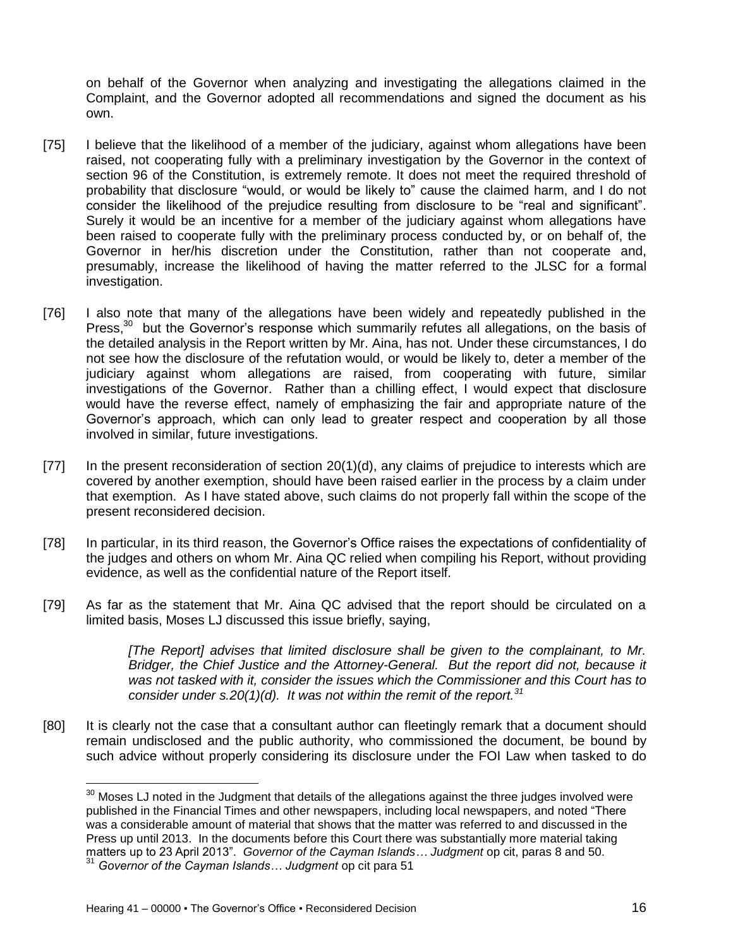on behalf of the Governor when analyzing and investigating the allegations claimed in the Complaint, and the Governor adopted all recommendations and signed the document as his own.

- [75] I believe that the likelihood of a member of the judiciary, against whom allegations have been raised, not cooperating fully with a preliminary investigation by the Governor in the context of section 96 of the Constitution, is extremely remote. It does not meet the required threshold of probability that disclosure "would, or would be likely to" cause the claimed harm, and I do not consider the likelihood of the prejudice resulting from disclosure to be "real and significant". Surely it would be an incentive for a member of the judiciary against whom allegations have been raised to cooperate fully with the preliminary process conducted by, or on behalf of, the Governor in her/his discretion under the Constitution, rather than not cooperate and, presumably, increase the likelihood of having the matter referred to the JLSC for a formal investigation.
- [76] I also note that many of the allegations have been widely and repeatedly published in the Press, $30$  but the Governor's response which summarily refutes all allegations, on the basis of the detailed analysis in the Report written by Mr. Aina, has not. Under these circumstances, I do not see how the disclosure of the refutation would, or would be likely to, deter a member of the judiciary against whom allegations are raised, from cooperating with future, similar investigations of the Governor. Rather than a chilling effect, I would expect that disclosure would have the reverse effect, namely of emphasizing the fair and appropriate nature of the Governor's approach, which can only lead to greater respect and cooperation by all those involved in similar, future investigations.
- [77] In the present reconsideration of section 20(1)(d), any claims of prejudice to interests which are covered by another exemption, should have been raised earlier in the process by a claim under that exemption. As I have stated above, such claims do not properly fall within the scope of the present reconsidered decision.
- [78] In particular, in its third reason, the Governor's Office raises the expectations of confidentiality of the judges and others on whom Mr. Aina QC relied when compiling his Report, without providing evidence, as well as the confidential nature of the Report itself.
- [79] As far as the statement that Mr. Aina QC advised that the report should be circulated on a limited basis, Moses LJ discussed this issue briefly, saying,

*[The Report] advises that limited disclosure shall be given to the complainant, to Mr. Bridger, the Chief Justice and the Attorney-General. But the report did not, because it was not tasked with it, consider the issues which the Commissioner and this Court has to consider under s.20(1)(d). It was not within the remit of the report.<sup>31</sup>*

[80] It is clearly not the case that a consultant author can fleetingly remark that a document should remain undisclosed and the public authority, who commissioned the document, be bound by such advice without properly considering its disclosure under the FOI Law when tasked to do

l

 $30$  Moses LJ noted in the Judgment that details of the allegations against the three judges involved were published in the Financial Times and other newspapers, including local newspapers, and noted "There was a considerable amount of material that shows that the matter was referred to and discussed in the Press up until 2013. In the documents before this Court there was substantially more material taking matters up to 23 April 2013". *Governor of the Cayman Islands… Judgment* op cit, paras 8 and 50.

<sup>31</sup> *Governor of the Cayman Islands… Judgment* op cit para 51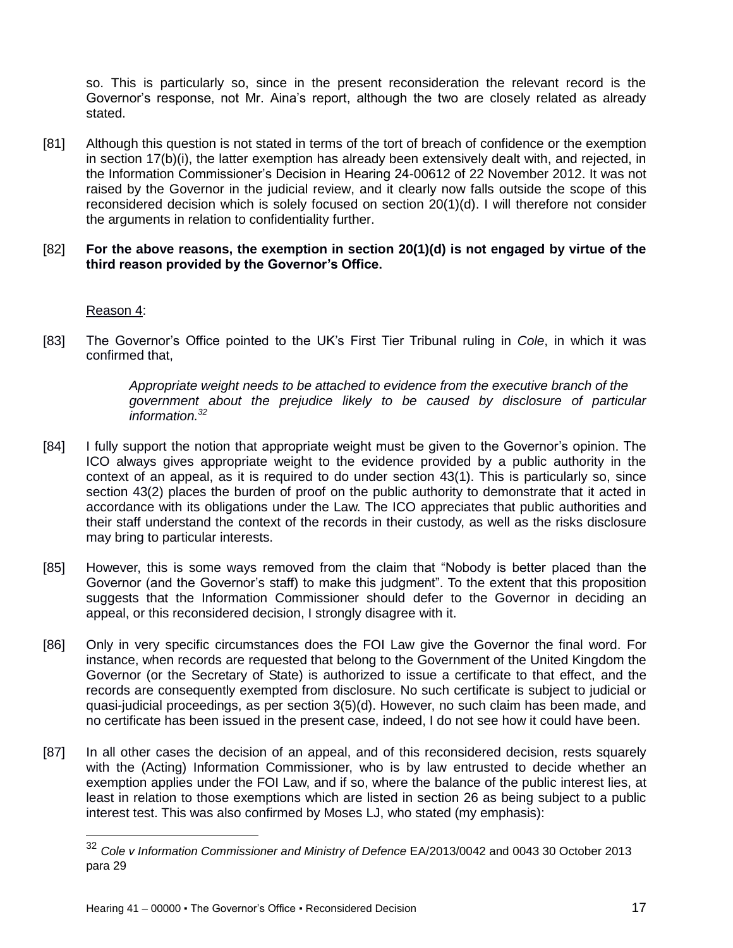so. This is particularly so, since in the present reconsideration the relevant record is the Governor's response, not Mr. Aina's report, although the two are closely related as already stated.

[81] Although this question is not stated in terms of the tort of breach of confidence or the exemption in section 17(b)(i), the latter exemption has already been extensively dealt with, and rejected, in the Information Commissioner's Decision in Hearing 24-00612 of 22 November 2012. It was not raised by the Governor in the judicial review, and it clearly now falls outside the scope of this reconsidered decision which is solely focused on section 20(1)(d). I will therefore not consider the arguments in relation to confidentiality further.

### [82] **For the above reasons, the exemption in section 20(1)(d) is not engaged by virtue of the third reason provided by the Governor's Office.**

Reason 4:

 $\overline{\phantom{a}}$ 

[83] The Governor's Office pointed to the UK's First Tier Tribunal ruling in *Cole*, in which it was confirmed that,

> *Appropriate weight needs to be attached to evidence from the executive branch of the government about the prejudice likely to be caused by disclosure of particular information.<sup>32</sup>*

- [84] I fully support the notion that appropriate weight must be given to the Governor's opinion. The ICO always gives appropriate weight to the evidence provided by a public authority in the context of an appeal, as it is required to do under section 43(1). This is particularly so, since section 43(2) places the burden of proof on the public authority to demonstrate that it acted in accordance with its obligations under the Law. The ICO appreciates that public authorities and their staff understand the context of the records in their custody, as well as the risks disclosure may bring to particular interests.
- [85] However, this is some ways removed from the claim that "Nobody is better placed than the Governor (and the Governor's staff) to make this judgment". To the extent that this proposition suggests that the Information Commissioner should defer to the Governor in deciding an appeal, or this reconsidered decision, I strongly disagree with it.
- [86] Only in very specific circumstances does the FOI Law give the Governor the final word. For instance, when records are requested that belong to the Government of the United Kingdom the Governor (or the Secretary of State) is authorized to issue a certificate to that effect, and the records are consequently exempted from disclosure. No such certificate is subject to judicial or quasi-judicial proceedings, as per section 3(5)(d). However, no such claim has been made, and no certificate has been issued in the present case, indeed, I do not see how it could have been.
- [87] In all other cases the decision of an appeal, and of this reconsidered decision, rests squarely with the (Acting) Information Commissioner, who is by law entrusted to decide whether an exemption applies under the FOI Law, and if so, where the balance of the public interest lies, at least in relation to those exemptions which are listed in section 26 as being subject to a public interest test. This was also confirmed by Moses LJ, who stated (my emphasis):

<sup>32</sup> *Cole v Information Commissioner and Ministry of Defence* EA/2013/0042 and 0043 30 October 2013 para 29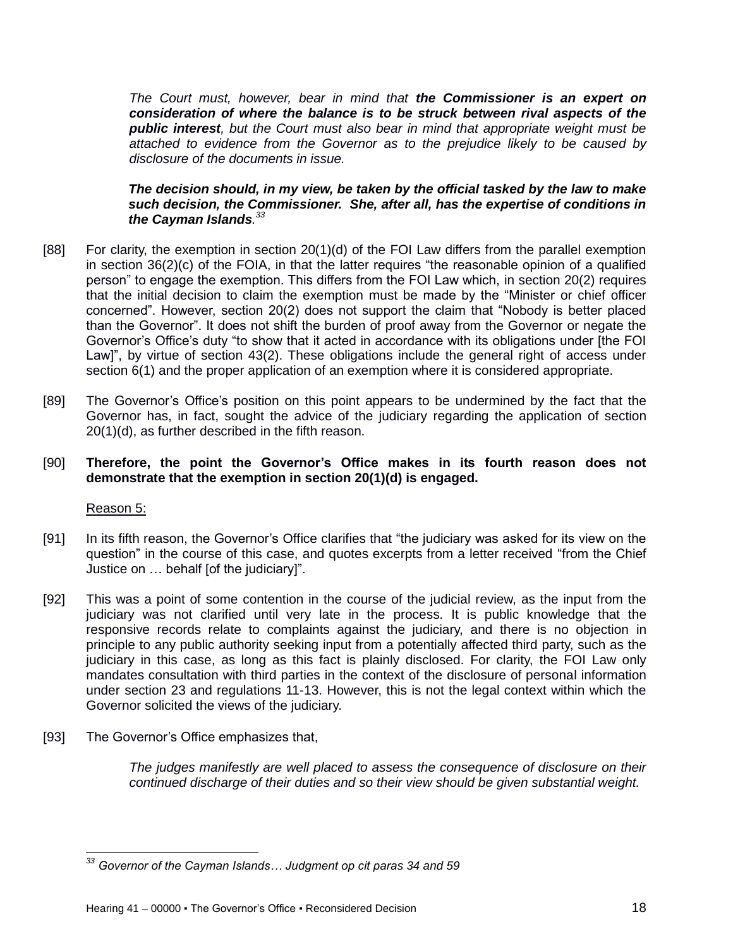*The Court must, however, bear in mind that the Commissioner is an expert on consideration of where the balance is to be struck between rival aspects of the public interest, but the Court must also bear in mind that appropriate weight must be attached to evidence from the Governor as to the prejudice likely to be caused by disclosure of the documents in issue.*

#### *The decision should, in my view, be taken by the official tasked by the law to make such decision, the Commissioner. She, after all, has the expertise of conditions in the Cayman Islands. 33*

- [88] For clarity, the exemption in section 20(1)(d) of the FOI Law differs from the parallel exemption in section 36(2)(c) of the FOIA, in that the latter requires "the reasonable opinion of a qualified person" to engage the exemption. This differs from the FOI Law which, in section 20(2) requires that the initial decision to claim the exemption must be made by the "Minister or chief officer concerned". However, section 20(2) does not support the claim that "Nobody is better placed than the Governor". It does not shift the burden of proof away from the Governor or negate the Governor's Office's duty "to show that it acted in accordance with its obligations under [the FOI Law]", by virtue of section 43(2). These obligations include the general right of access under section 6(1) and the proper application of an exemption where it is considered appropriate.
- [89] The Governor's Office's position on this point appears to be undermined by the fact that the Governor has, in fact, sought the advice of the judiciary regarding the application of section 20(1)(d), as further described in the fifth reason.

### [90] **Therefore, the point the Governor's Office makes in its fourth reason does not demonstrate that the exemption in section 20(1)(d) is engaged.**

Reason 5:

 $\overline{\phantom{a}}$ 

- [91] In its fifth reason, the Governor's Office clarifies that "the judiciary was asked for its view on the question" in the course of this case, and quotes excerpts from a letter received "from the Chief Justice on … behalf [of the judiciary]".
- [92] This was a point of some contention in the course of the judicial review, as the input from the judiciary was not clarified until very late in the process. It is public knowledge that the responsive records relate to complaints against the judiciary, and there is no objection in principle to any public authority seeking input from a potentially affected third party, such as the judiciary in this case, as long as this fact is plainly disclosed. For clarity, the FOI Law only mandates consultation with third parties in the context of the disclosure of personal information under section 23 and regulations 11-13. However, this is not the legal context within which the Governor solicited the views of the judiciary.
- [93] The Governor's Office emphasizes that,

*The judges manifestly are well placed to assess the consequence of disclosure on their continued discharge of their duties and so their view should be given substantial weight.*

*<sup>33</sup> Governor of the Cayman Islands… Judgment op cit paras 34 and 59*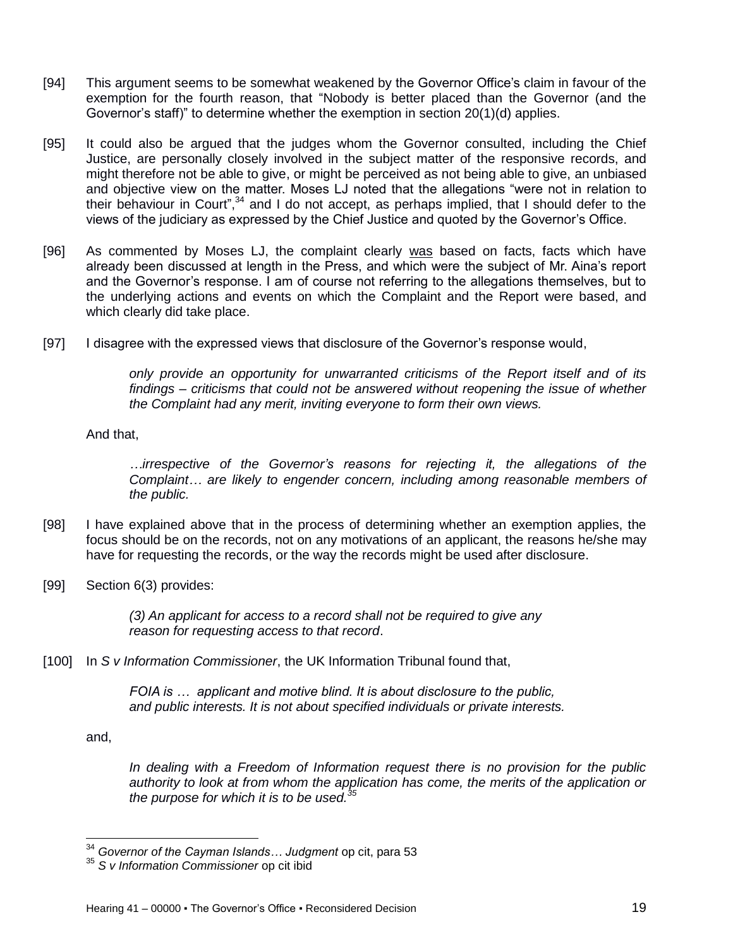- [94] This argument seems to be somewhat weakened by the Governor Office's claim in favour of the exemption for the fourth reason, that "Nobody is better placed than the Governor (and the Governor's staff)" to determine whether the exemption in section 20(1)(d) applies.
- [95] It could also be argued that the judges whom the Governor consulted, including the Chief Justice, are personally closely involved in the subject matter of the responsive records, and might therefore not be able to give, or might be perceived as not being able to give, an unbiased and objective view on the matter. Moses LJ noted that the allegations "were not in relation to their behaviour in Court",<sup>34</sup> and I do not accept, as perhaps implied, that I should defer to the views of the judiciary as expressed by the Chief Justice and quoted by the Governor's Office.
- [96] As commented by Moses LJ, the complaint clearly was based on facts, facts which have already been discussed at length in the Press, and which were the subject of Mr. Aina's report and the Governor's response. I am of course not referring to the allegations themselves, but to the underlying actions and events on which the Complaint and the Report were based, and which clearly did take place.
- [97] I disagree with the expressed views that disclosure of the Governor's response would,

*only provide an opportunity for unwarranted criticisms of the Report itself and of its findings – criticisms that could not be answered without reopening the issue of whether the Complaint had any merit, inviting everyone to form their own views.*

And that,

*…irrespective of the Governor's reasons for rejecting it, the allegations of the Complaint… are likely to engender concern, including among reasonable members of the public.*

- [98] I have explained above that in the process of determining whether an exemption applies, the focus should be on the records, not on any motivations of an applicant, the reasons he/she may have for requesting the records, or the way the records might be used after disclosure.
- [99] Section 6(3) provides:

*(3) An applicant for access to a record shall not be required to give any reason for requesting access to that record*.

[100] In *S v Information Commissioner*, the UK Information Tribunal found that,

*FOIA is … applicant and motive blind. It is about disclosure to the public, and public interests. It is not about specified individuals or private interests.*

and,

 $\overline{\phantom{a}}$ 

*In dealing with a Freedom of Information request there is no provision for the public authority to look at from whom the application has come, the merits of the application or the purpose for which it is to be used.<sup>35</sup>*

<sup>34</sup> *Governor of the Cayman Islands… Judgment* op cit, para 53

<sup>35</sup> *S v Information Commissioner* op cit ibid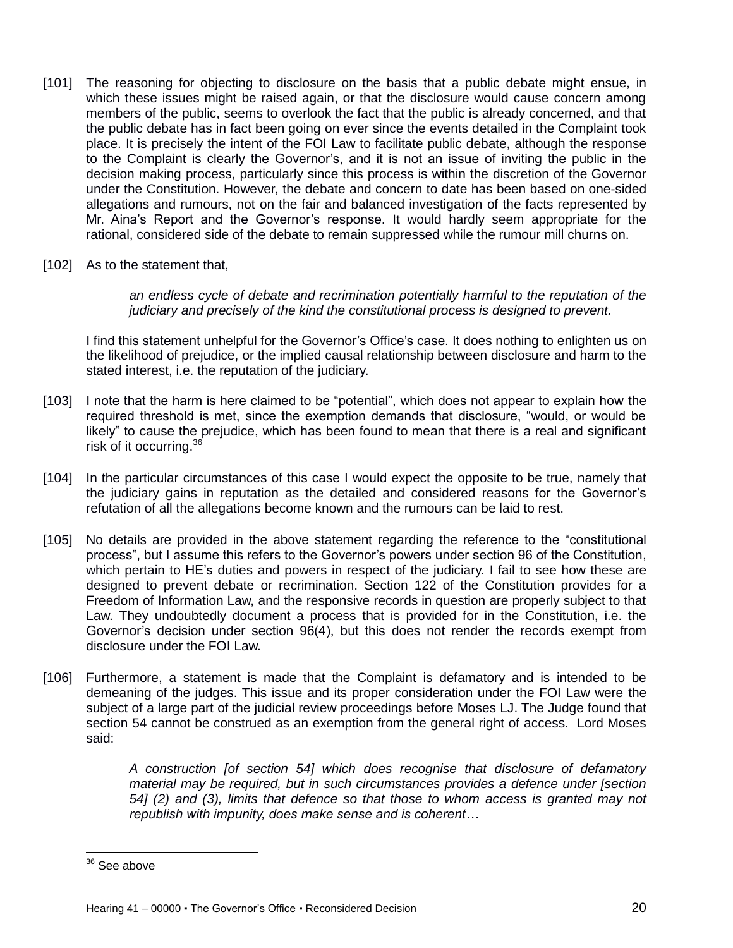- [101] The reasoning for objecting to disclosure on the basis that a public debate might ensue, in which these issues might be raised again, or that the disclosure would cause concern among members of the public, seems to overlook the fact that the public is already concerned, and that the public debate has in fact been going on ever since the events detailed in the Complaint took place. It is precisely the intent of the FOI Law to facilitate public debate, although the response to the Complaint is clearly the Governor's, and it is not an issue of inviting the public in the decision making process, particularly since this process is within the discretion of the Governor under the Constitution. However, the debate and concern to date has been based on one-sided allegations and rumours, not on the fair and balanced investigation of the facts represented by Mr. Aina's Report and the Governor's response. It would hardly seem appropriate for the rational, considered side of the debate to remain suppressed while the rumour mill churns on.
- [102] As to the statement that,

*an endless cycle of debate and recrimination potentially harmful to the reputation of the judiciary and precisely of the kind the constitutional process is designed to prevent.*

I find this statement unhelpful for the Governor's Office's case. It does nothing to enlighten us on the likelihood of prejudice, or the implied causal relationship between disclosure and harm to the stated interest, i.e. the reputation of the judiciary.

- [103] I note that the harm is here claimed to be "potential", which does not appear to explain how the required threshold is met, since the exemption demands that disclosure, "would, or would be likely" to cause the prejudice, which has been found to mean that there is a real and significant risk of it occurring.<sup>36</sup>
- [104] In the particular circumstances of this case I would expect the opposite to be true, namely that the judiciary gains in reputation as the detailed and considered reasons for the Governor's refutation of all the allegations become known and the rumours can be laid to rest.
- [105] No details are provided in the above statement regarding the reference to the "constitutional process", but I assume this refers to the Governor's powers under section 96 of the Constitution, which pertain to HE's duties and powers in respect of the judiciary. I fail to see how these are designed to prevent debate or recrimination. Section 122 of the Constitution provides for a Freedom of Information Law, and the responsive records in question are properly subject to that Law. They undoubtedly document a process that is provided for in the Constitution, i.e. the Governor's decision under section 96(4), but this does not render the records exempt from disclosure under the FOI Law.
- [106] Furthermore, a statement is made that the Complaint is defamatory and is intended to be demeaning of the judges. This issue and its proper consideration under the FOI Law were the subject of a large part of the judicial review proceedings before Moses LJ. The Judge found that section 54 cannot be construed as an exemption from the general right of access. Lord Moses said:

*A construction [of section 54] which does recognise that disclosure of defamatory material may be required, but in such circumstances provides a defence under [section 54] (2) and (3), limits that defence so that those to whom access is granted may not republish with impunity, does make sense and is coherent…*

 $\overline{\phantom{a}}$  $36$  See above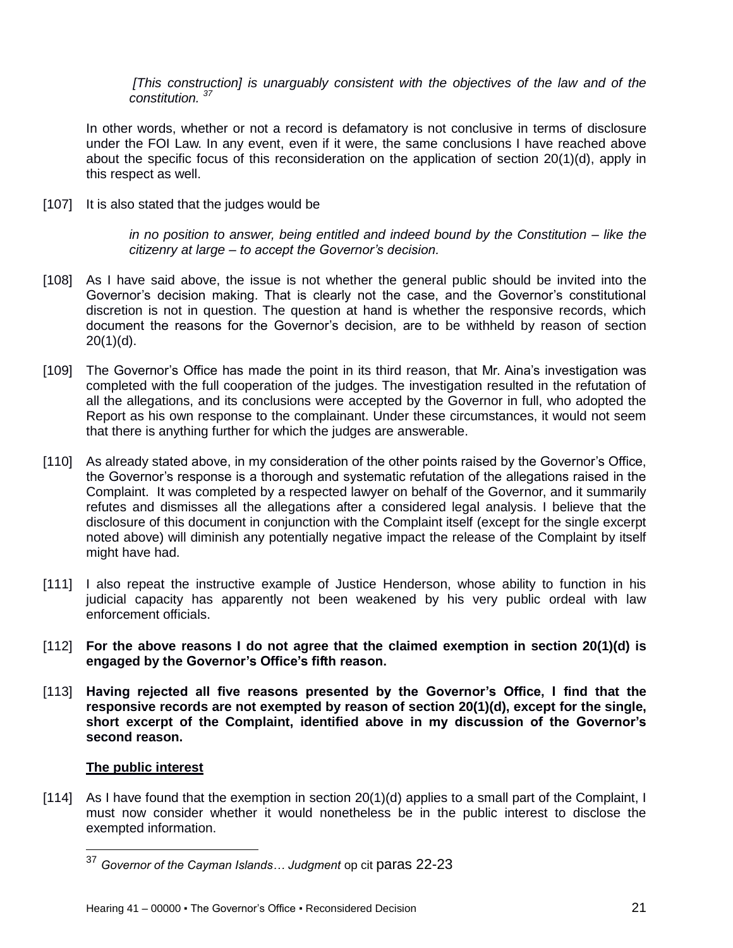*[This construction] is unarguably consistent with the objectives of the law and of the constitution. <sup>37</sup>*

In other words, whether or not a record is defamatory is not conclusive in terms of disclosure under the FOI Law. In any event, even if it were, the same conclusions I have reached above about the specific focus of this reconsideration on the application of section 20(1)(d), apply in this respect as well.

[107] It is also stated that the judges would be

*in no position to answer, being entitled and indeed bound by the Constitution – like the citizenry at large – to accept the Governor's decision.*

- [108] As I have said above, the issue is not whether the general public should be invited into the Governor's decision making. That is clearly not the case, and the Governor's constitutional discretion is not in question. The question at hand is whether the responsive records, which document the reasons for the Governor's decision, are to be withheld by reason of section  $20(1)(d)$ .
- [109] The Governor's Office has made the point in its third reason, that Mr. Aina's investigation was completed with the full cooperation of the judges. The investigation resulted in the refutation of all the allegations, and its conclusions were accepted by the Governor in full, who adopted the Report as his own response to the complainant. Under these circumstances, it would not seem that there is anything further for which the judges are answerable.
- [110] As already stated above, in my consideration of the other points raised by the Governor's Office, the Governor's response is a thorough and systematic refutation of the allegations raised in the Complaint. It was completed by a respected lawyer on behalf of the Governor, and it summarily refutes and dismisses all the allegations after a considered legal analysis. I believe that the disclosure of this document in conjunction with the Complaint itself (except for the single excerpt noted above) will diminish any potentially negative impact the release of the Complaint by itself might have had.
- [111] I also repeat the instructive example of Justice Henderson, whose ability to function in his judicial capacity has apparently not been weakened by his very public ordeal with law enforcement officials.
- [112] **For the above reasons I do not agree that the claimed exemption in section 20(1)(d) is engaged by the Governor's Office's fifth reason.**
- [113] **Having rejected all five reasons presented by the Governor's Office, I find that the responsive records are not exempted by reason of section 20(1)(d), except for the single, short excerpt of the Complaint, identified above in my discussion of the Governor's second reason.**

### **The public interest**

 $\overline{\phantom{a}}$ 

[114] As I have found that the exemption in section 20(1)(d) applies to a small part of the Complaint, I must now consider whether it would nonetheless be in the public interest to disclose the exempted information.

<sup>37</sup> *Governor of the Cayman Islands… Judgment* op cit paras 22-23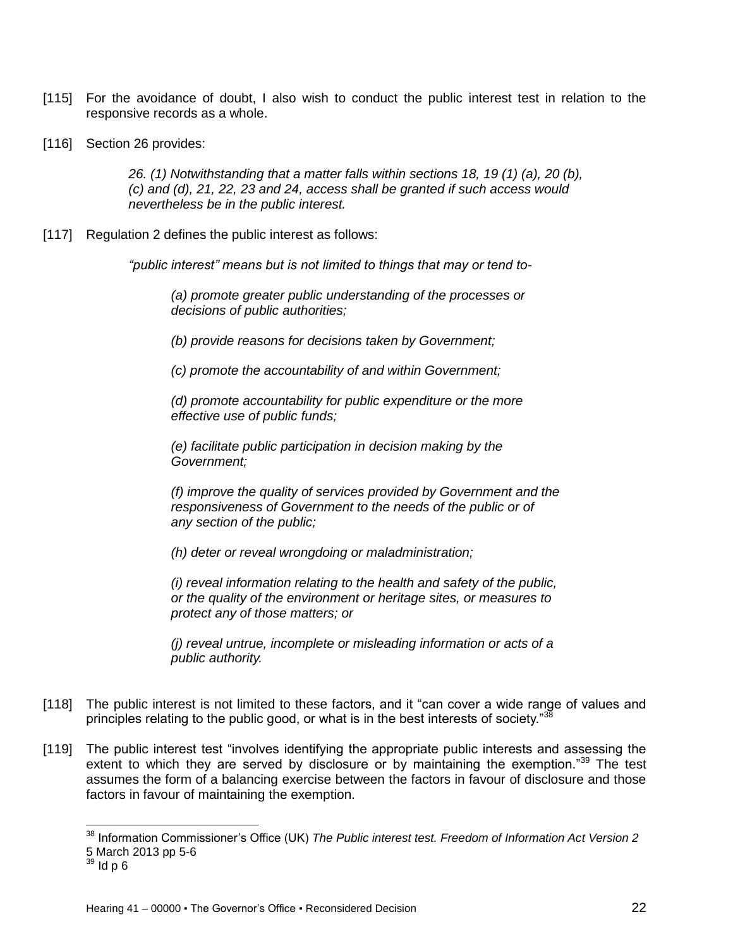- [115] For the avoidance of doubt, I also wish to conduct the public interest test in relation to the responsive records as a whole.
- [116] Section 26 provides:

*26. (1) Notwithstanding that a matter falls within sections 18, 19 (1) (a), 20 (b), (c) and (d), 21, 22, 23 and 24, access shall be granted if such access would nevertheless be in the public interest.*

[117] Regulation 2 defines the public interest as follows:

*"public interest" means but is not limited to things that may or tend to-*

*(a) promote greater public understanding of the processes or decisions of public authorities;*

*(b) provide reasons for decisions taken by Government;*

*(c) promote the accountability of and within Government;*

*(d) promote accountability for public expenditure or the more effective use of public funds;*

*(e) facilitate public participation in decision making by the Government;*

*(f) improve the quality of services provided by Government and the responsiveness of Government to the needs of the public or of any section of the public;*

*(h) deter or reveal wrongdoing or maladministration;*

*(i) reveal information relating to the health and safety of the public, or the quality of the environment or heritage sites, or measures to protect any of those matters; or*

*(j) reveal untrue, incomplete or misleading information or acts of a public authority.*

- [118] The public interest is not limited to these factors, and it "can cover a wide range of values and principles relating to the public good, or what is in the best interests of society."<sup>38</sup>
- [119] The public interest test "involves identifying the appropriate public interests and assessing the extent to which they are served by disclosure or by maintaining the exemption."<sup>39</sup> The test assumes the form of a balancing exercise between the factors in favour of disclosure and those factors in favour of maintaining the exemption.

<sup>38</sup> Information Commissioner's Office (UK) *The Public interest test. Freedom of Information Act Version 2* 5 March 2013 pp 5-6

 $39$  ld p 6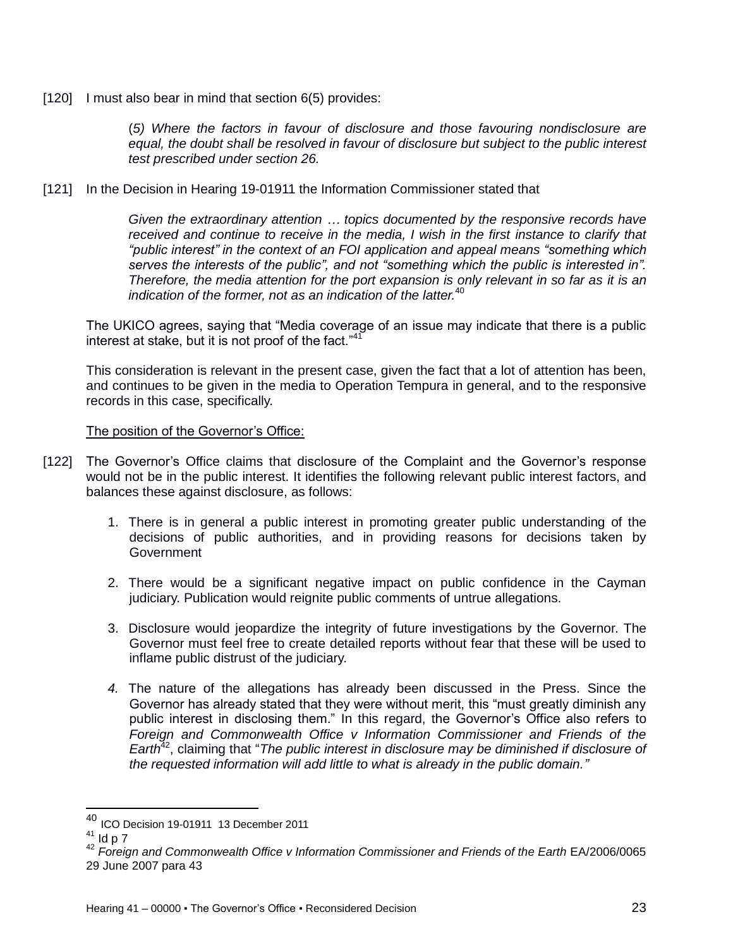[120] I must also bear in mind that section 6(5) provides:

(*5) Where the factors in favour of disclosure and those favouring nondisclosure are equal, the doubt shall be resolved in favour of disclosure but subject to the public interest test prescribed under section 26.*

[121] In the Decision in Hearing 19-01911 the Information Commissioner stated that

*Given the extraordinary attention … topics documented by the responsive records have received and continue to receive in the media, I wish in the first instance to clarify that "public interest" in the context of an FOI application and appeal means "something which*  serves the interests of the public", and not "something which the public is interested in". *Therefore, the media attention for the port expansion is only relevant in so far as it is an indication of the former, not as an indication of the latter.*<sup>40</sup>

The UKICO agrees, saying that "Media coverage of an issue may indicate that there is a public interest at stake, but it is not proof of the fact."<sup>41</sup>

This consideration is relevant in the present case, given the fact that a lot of attention has been, and continues to be given in the media to Operation Tempura in general, and to the responsive records in this case, specifically.

### The position of the Governor's Office:

- [122] The Governor's Office claims that disclosure of the Complaint and the Governor's response would not be in the public interest. It identifies the following relevant public interest factors, and balances these against disclosure, as follows:
	- 1. There is in general a public interest in promoting greater public understanding of the decisions of public authorities, and in providing reasons for decisions taken by **Government**
	- 2. There would be a significant negative impact on public confidence in the Cayman judiciary. Publication would reignite public comments of untrue allegations.
	- 3. Disclosure would jeopardize the integrity of future investigations by the Governor. The Governor must feel free to create detailed reports without fear that these will be used to inflame public distrust of the judiciary.
	- *4.* The nature of the allegations has already been discussed in the Press. Since the Governor has already stated that they were without merit, this "must greatly diminish any public interest in disclosing them." In this regard, the Governor's Office also refers to *Foreign and Commonwealth Office v Information Commissioner and Friends of the Earth*<sup>42</sup>, claiming that "*The public interest in disclosure may be diminished if disclosure of the requested information will add little to what is already in the public domain."*

<sup>40</sup> ICO Decision 19-01911 13 December 2011

 $41$  Id p  $7$ 

<sup>42</sup> *Foreign and Commonwealth Office v Information Commissioner and Friends of the Earth* EA/2006/0065 29 June 2007 para 43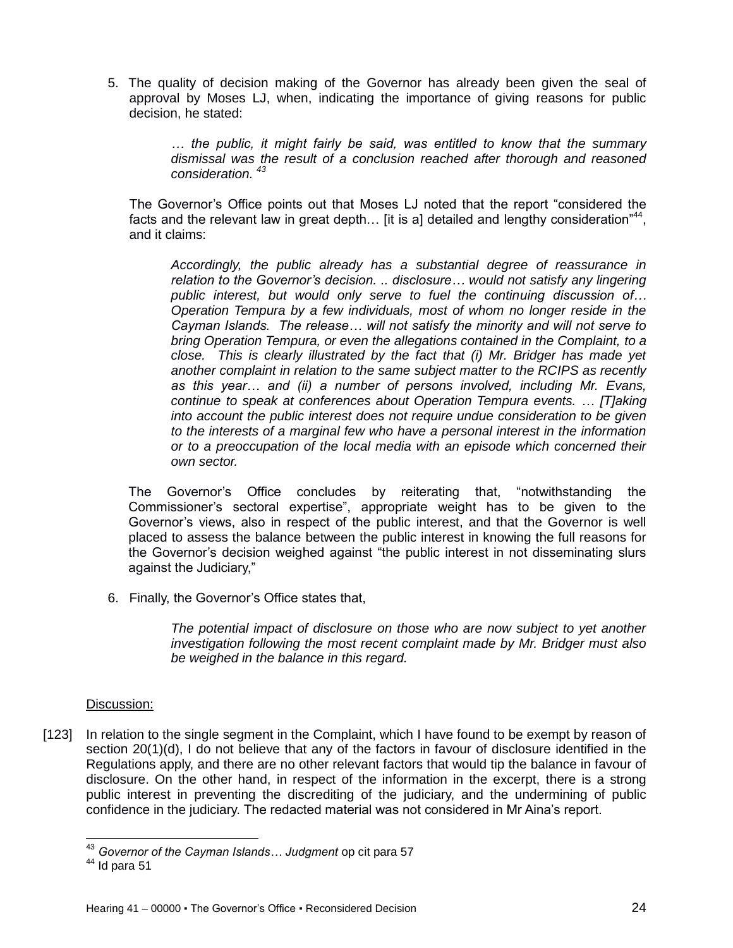5. The quality of decision making of the Governor has already been given the seal of approval by Moses LJ, when, indicating the importance of giving reasons for public decision, he stated:

> *… the public, it might fairly be said, was entitled to know that the summary dismissal was the result of a conclusion reached after thorough and reasoned consideration. <sup>43</sup>*

The Governor's Office points out that Moses LJ noted that the report "considered the facts and the relevant law in great depth... [it is a] detailed and lengthy consideration"<sup>44</sup>, and it claims:

*Accordingly, the public already has a substantial degree of reassurance in relation to the Governor's decision. .. disclosure… would not satisfy any lingering public interest, but would only serve to fuel the continuing discussion of… Operation Tempura by a few individuals, most of whom no longer reside in the Cayman Islands. The release… will not satisfy the minority and will not serve to bring Operation Tempura, or even the allegations contained in the Complaint, to a close. This is clearly illustrated by the fact that (i) Mr. Bridger has made yet another complaint in relation to the same subject matter to the RCIPS as recently as this year… and (ii) a number of persons involved, including Mr. Evans, continue to speak at conferences about Operation Tempura events. … [T]aking into account the public interest does not require undue consideration to be given to the interests of a marginal few who have a personal interest in the information or to a preoccupation of the local media with an episode which concerned their own sector.*

The Governor's Office concludes by reiterating that, "notwithstanding the Commissioner's sectoral expertise", appropriate weight has to be given to the Governor's views, also in respect of the public interest, and that the Governor is well placed to assess the balance between the public interest in knowing the full reasons for the Governor's decision weighed against "the public interest in not disseminating slurs against the Judiciary,"

6. Finally, the Governor's Office states that,

*The potential impact of disclosure on those who are now subject to yet another investigation following the most recent complaint made by Mr. Bridger must also be weighed in the balance in this regard.*

#### Discussion:

[123] In relation to the single segment in the Complaint, which I have found to be exempt by reason of section 20(1)(d), I do not believe that any of the factors in favour of disclosure identified in the Regulations apply, and there are no other relevant factors that would tip the balance in favour of disclosure. On the other hand, in respect of the information in the excerpt, there is a strong public interest in preventing the discrediting of the judiciary, and the undermining of public confidence in the judiciary. The redacted material was not considered in Mr Aina's report.

<sup>43</sup> *Governor of the Cayman Islands… Judgment* op cit para 57

 $44$  Id para 51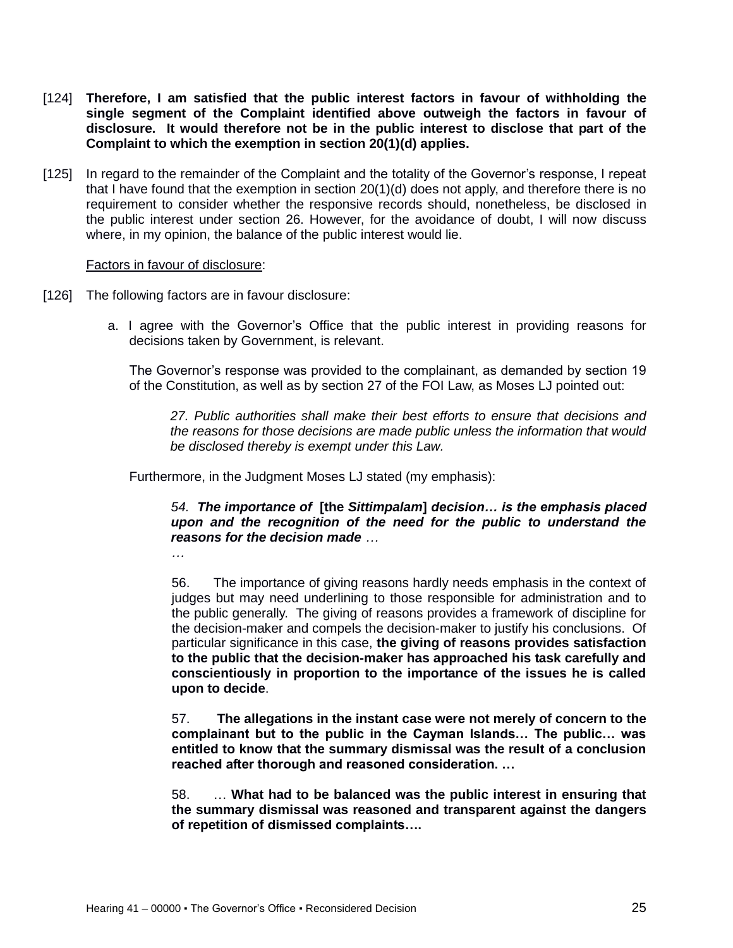- [124] **Therefore, I am satisfied that the public interest factors in favour of withholding the single segment of the Complaint identified above outweigh the factors in favour of disclosure. It would therefore not be in the public interest to disclose that part of the Complaint to which the exemption in section 20(1)(d) applies.**
- [125] In regard to the remainder of the Complaint and the totality of the Governor's response, I repeat that I have found that the exemption in section 20(1)(d) does not apply, and therefore there is no requirement to consider whether the responsive records should, nonetheless, be disclosed in the public interest under section 26. However, for the avoidance of doubt, I will now discuss where, in my opinion, the balance of the public interest would lie.

#### Factors in favour of disclosure:

- [126] The following factors are in favour disclosure:
	- a. I agree with the Governor's Office that the public interest in providing reasons for decisions taken by Government, is relevant.

The Governor's response was provided to the complainant, as demanded by section 19 of the Constitution, as well as by section 27 of the FOI Law, as Moses LJ pointed out:

*27. Public authorities shall make their best efforts to ensure that decisions and the reasons for those decisions are made public unless the information that would be disclosed thereby is exempt under this Law.*

Furthermore, in the Judgment Moses LJ stated (my emphasis):

*54. The importance of* **[the** *Sittimpalam***]** *decision… is the emphasis placed upon and the recognition of the need for the public to understand the reasons for the decision made …*

56. The importance of giving reasons hardly needs emphasis in the context of judges but may need underlining to those responsible for administration and to the public generally. The giving of reasons provides a framework of discipline for the decision-maker and compels the decision-maker to justify his conclusions. Of particular significance in this case, **the giving of reasons provides satisfaction to the public that the decision-maker has approached his task carefully and conscientiously in proportion to the importance of the issues he is called upon to decide**.

57. **The allegations in the instant case were not merely of concern to the complainant but to the public in the Cayman Islands… The public… was entitled to know that the summary dismissal was the result of a conclusion reached after thorough and reasoned consideration. …**

58. … **What had to be balanced was the public interest in ensuring that the summary dismissal was reasoned and transparent against the dangers of repetition of dismissed complaints….**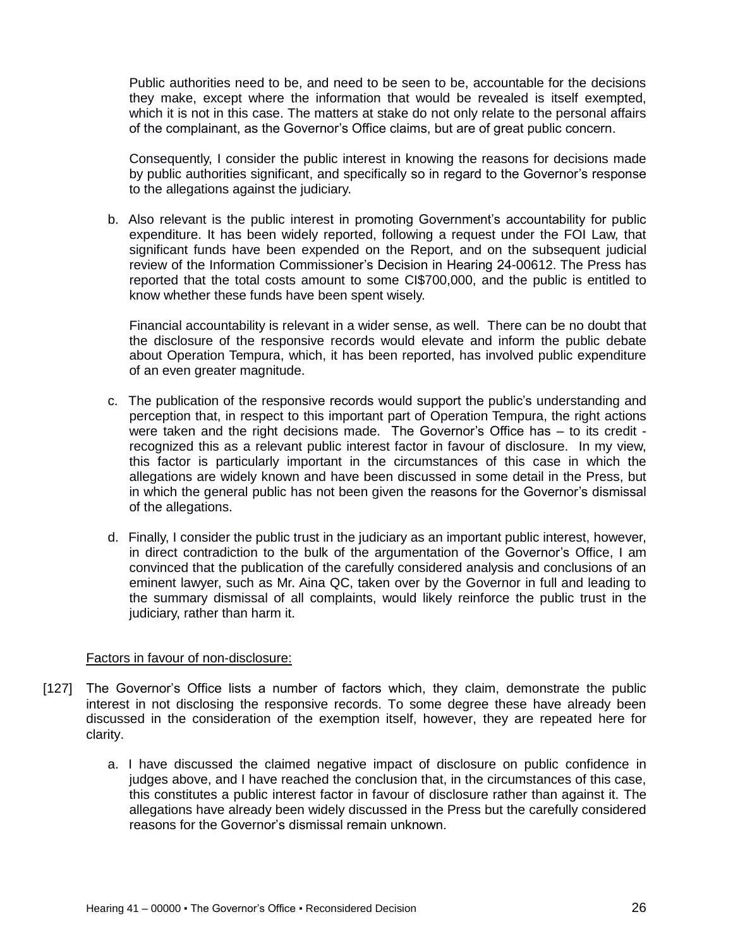Public authorities need to be, and need to be seen to be, accountable for the decisions they make, except where the information that would be revealed is itself exempted, which it is not in this case. The matters at stake do not only relate to the personal affairs of the complainant, as the Governor's Office claims, but are of great public concern.

Consequently, I consider the public interest in knowing the reasons for decisions made by public authorities significant, and specifically so in regard to the Governor's response to the allegations against the judiciary.

b. Also relevant is the public interest in promoting Government's accountability for public expenditure. It has been widely reported, following a request under the FOI Law, that significant funds have been expended on the Report, and on the subsequent judicial review of the Information Commissioner's Decision in Hearing 24-00612. The Press has reported that the total costs amount to some CI\$700,000, and the public is entitled to know whether these funds have been spent wisely.

Financial accountability is relevant in a wider sense, as well. There can be no doubt that the disclosure of the responsive records would elevate and inform the public debate about Operation Tempura, which, it has been reported, has involved public expenditure of an even greater magnitude.

- c. The publication of the responsive records would support the public's understanding and perception that, in respect to this important part of Operation Tempura, the right actions were taken and the right decisions made. The Governor's Office has – to its credit recognized this as a relevant public interest factor in favour of disclosure. In my view, this factor is particularly important in the circumstances of this case in which the allegations are widely known and have been discussed in some detail in the Press, but in which the general public has not been given the reasons for the Governor's dismissal of the allegations.
- d. Finally, I consider the public trust in the judiciary as an important public interest, however, in direct contradiction to the bulk of the argumentation of the Governor's Office, I am convinced that the publication of the carefully considered analysis and conclusions of an eminent lawyer, such as Mr. Aina QC, taken over by the Governor in full and leading to the summary dismissal of all complaints, would likely reinforce the public trust in the judiciary, rather than harm it.

#### Factors in favour of non-disclosure:

- [127] The Governor's Office lists a number of factors which, they claim, demonstrate the public interest in not disclosing the responsive records. To some degree these have already been discussed in the consideration of the exemption itself, however, they are repeated here for clarity.
	- a. I have discussed the claimed negative impact of disclosure on public confidence in judges above, and I have reached the conclusion that, in the circumstances of this case, this constitutes a public interest factor in favour of disclosure rather than against it. The allegations have already been widely discussed in the Press but the carefully considered reasons for the Governor's dismissal remain unknown.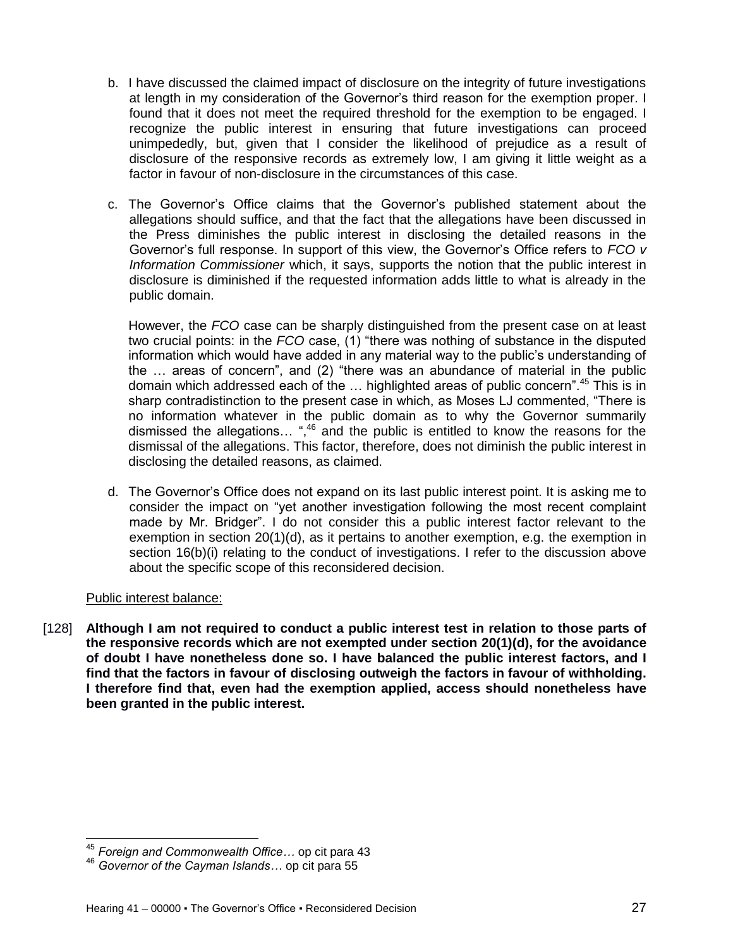- b. I have discussed the claimed impact of disclosure on the integrity of future investigations at length in my consideration of the Governor's third reason for the exemption proper. I found that it does not meet the required threshold for the exemption to be engaged. I recognize the public interest in ensuring that future investigations can proceed unimpededly, but, given that I consider the likelihood of prejudice as a result of disclosure of the responsive records as extremely low, I am giving it little weight as a factor in favour of non-disclosure in the circumstances of this case.
- c. The Governor's Office claims that the Governor's published statement about the allegations should suffice, and that the fact that the allegations have been discussed in the Press diminishes the public interest in disclosing the detailed reasons in the Governor's full response. In support of this view, the Governor's Office refers to *FCO v Information Commissioner* which, it says, supports the notion that the public interest in disclosure is diminished if the requested information adds little to what is already in the public domain.

However, the *FCO* case can be sharply distinguished from the present case on at least two crucial points: in the *FCO* case, (1) "there was nothing of substance in the disputed information which would have added in any material way to the public's understanding of the … areas of concern", and (2) "there was an abundance of material in the public domain which addressed each of the ... highlighted areas of public concern".<sup>45</sup> This is in sharp contradistinction to the present case in which, as Moses LJ commented, "There is no information whatever in the public domain as to why the Governor summarily dismissed the allegations... ",<sup>46</sup> and the public is entitled to know the reasons for the dismissal of the allegations. This factor, therefore, does not diminish the public interest in disclosing the detailed reasons, as claimed.

d. The Governor's Office does not expand on its last public interest point. It is asking me to consider the impact on "yet another investigation following the most recent complaint made by Mr. Bridger". I do not consider this a public interest factor relevant to the exemption in section 20(1)(d), as it pertains to another exemption, e.g. the exemption in section 16(b)(i) relating to the conduct of investigations. I refer to the discussion above about the specific scope of this reconsidered decision.

### Public interest balance:

 $\overline{\phantom{a}}$ 

[128] **Although I am not required to conduct a public interest test in relation to those parts of the responsive records which are not exempted under section 20(1)(d), for the avoidance of doubt I have nonetheless done so. I have balanced the public interest factors, and I find that the factors in favour of disclosing outweigh the factors in favour of withholding. I therefore find that, even had the exemption applied, access should nonetheless have been granted in the public interest.** 

<sup>45</sup> *Foreign and Commonwealth Office…* op cit para 43

<sup>46</sup> *Governor of the Cayman Islands…* op cit para 55